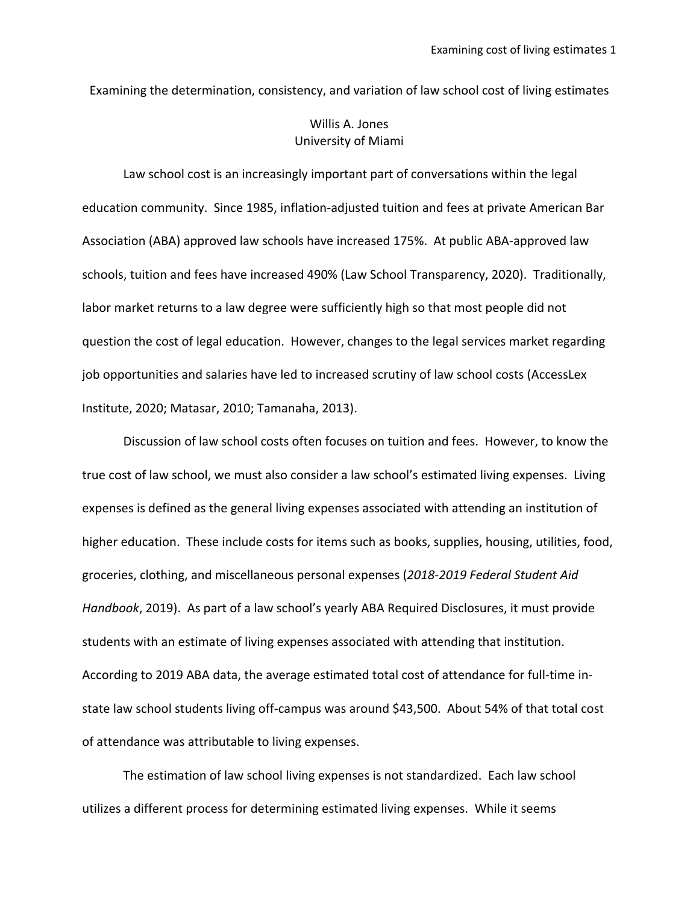Examining the determination, consistency, and variation of law school cost of living estimates

# Willis A. Jones University of Miami

Law school cost is an increasingly important part of conversations within the legal education community. Since 1985, inflation-adjusted tuition and fees at private American Bar Association (ABA) approved law schools have increased 175%. At public ABA-approved law schools, tuition and fees have increased 490% (Law School Transparency, 2020). Traditionally, labor market returns to a law degree were sufficiently high so that most people did not question the cost of legal education. However, changes to the legal services market regarding job opportunities and salaries have led to increased scrutiny of law school costs (AccessLex Institute, 2020; Matasar, 2010; Tamanaha, 2013).

Discussion of law school costs often focuses on tuition and fees. However, to know the true cost of law school, we must also consider a law school's estimated living expenses. Living expenses is defined as the general living expenses associated with attending an institution of higher education. These include costs for items such as books, supplies, housing, utilities, food, groceries, clothing, and miscellaneous personal expenses (*2018-2019 Federal Student Aid Handbook*, 2019). As part of a law school's yearly ABA Required Disclosures, it must provide students with an estimate of living expenses associated with attending that institution. According to 2019 ABA data, the average estimated total cost of attendance for full-time instate law school students living off-campus was around \$43,500. About 54% of that total cost of attendance was attributable to living expenses.

The estimation of law school living expenses is not standardized. Each law school utilizes a different process for determining estimated living expenses. While it seems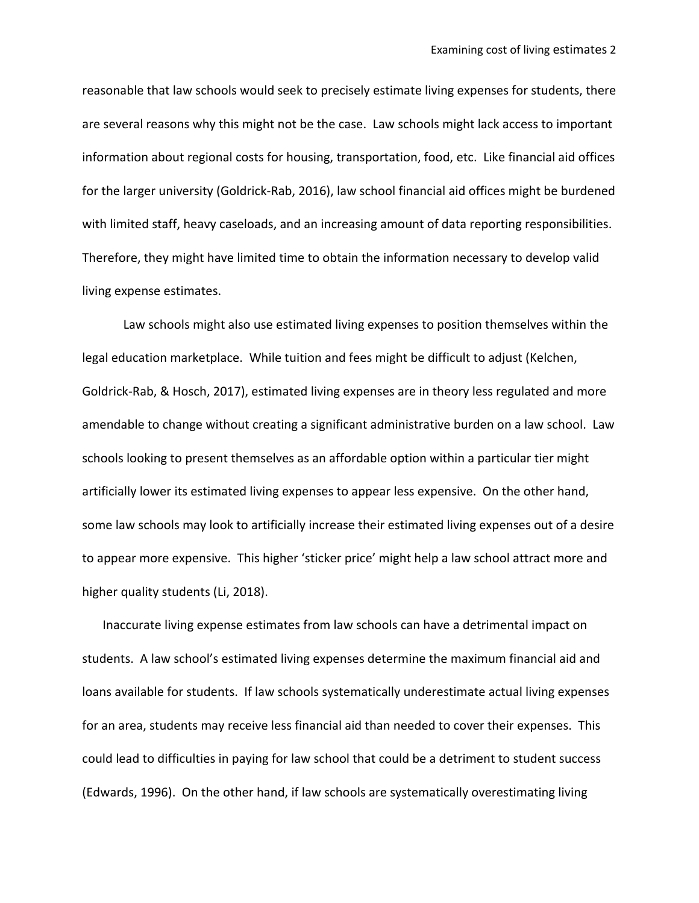reasonable that law schools would seek to precisely estimate living expenses for students, there are several reasons why this might not be the case. Law schools might lack access to important information about regional costs for housing, transportation, food, etc. Like financial aid offices for the larger university (Goldrick-Rab, 2016), law school financial aid offices might be burdened with limited staff, heavy caseloads, and an increasing amount of data reporting responsibilities. Therefore, they might have limited time to obtain the information necessary to develop valid living expense estimates.

Law schools might also use estimated living expenses to position themselves within the legal education marketplace. While tuition and fees might be difficult to adjust (Kelchen, Goldrick-Rab, & Hosch, 2017), estimated living expenses are in theory less regulated and more amendable to change without creating a significant administrative burden on a law school. Law schools looking to present themselves as an affordable option within a particular tier might artificially lower its estimated living expenses to appear less expensive. On the other hand, some law schools may look to artificially increase their estimated living expenses out of a desire to appear more expensive. This higher 'sticker price' might help a law school attract more and higher quality students (Li, 2018).

Inaccurate living expense estimates from law schools can have a detrimental impact on students. A law school's estimated living expenses determine the maximum financial aid and loans available for students. If law schools systematically underestimate actual living expenses for an area, students may receive less financial aid than needed to cover their expenses. This could lead to difficulties in paying for law school that could be a detriment to student success (Edwards, 1996). On the other hand, if law schools are systematically overestimating living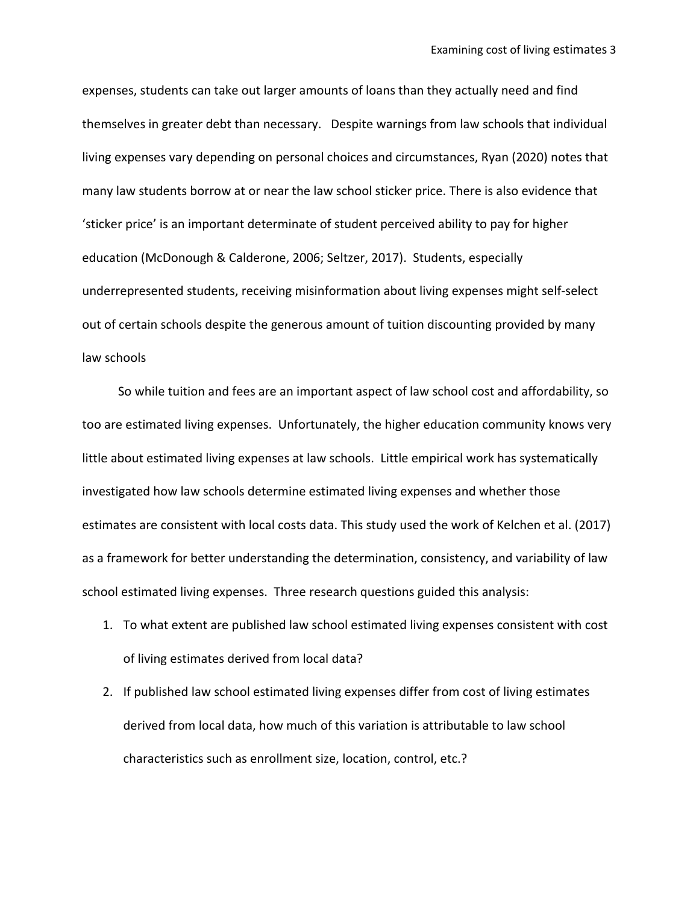expenses, students can take out larger amounts of loans than they actually need and find themselves in greater debt than necessary. Despite warnings from law schools that individual living expenses vary depending on personal choices and circumstances, Ryan (2020) notes that many law students borrow at or near the law school sticker price. There is also evidence that 'sticker price' is an important determinate of student perceived ability to pay for higher education (McDonough & Calderone, 2006; Seltzer, 2017). Students, especially underrepresented students, receiving misinformation about living expenses might self-select out of certain schools despite the generous amount of tuition discounting provided by many law schools

 So while tuition and fees are an important aspect of law school cost and affordability, so too are estimated living expenses. Unfortunately, the higher education community knows very little about estimated living expenses at law schools. Little empirical work has systematically investigated how law schools determine estimated living expenses and whether those estimates are consistent with local costs data. This study used the work of Kelchen et al. (2017) as a framework for better understanding the determination, consistency, and variability of law school estimated living expenses. Three research questions guided this analysis:

- 1. To what extent are published law school estimated living expenses consistent with cost of living estimates derived from local data?
- 2. If published law school estimated living expenses differ from cost of living estimates derived from local data, how much of this variation is attributable to law school characteristics such as enrollment size, location, control, etc.?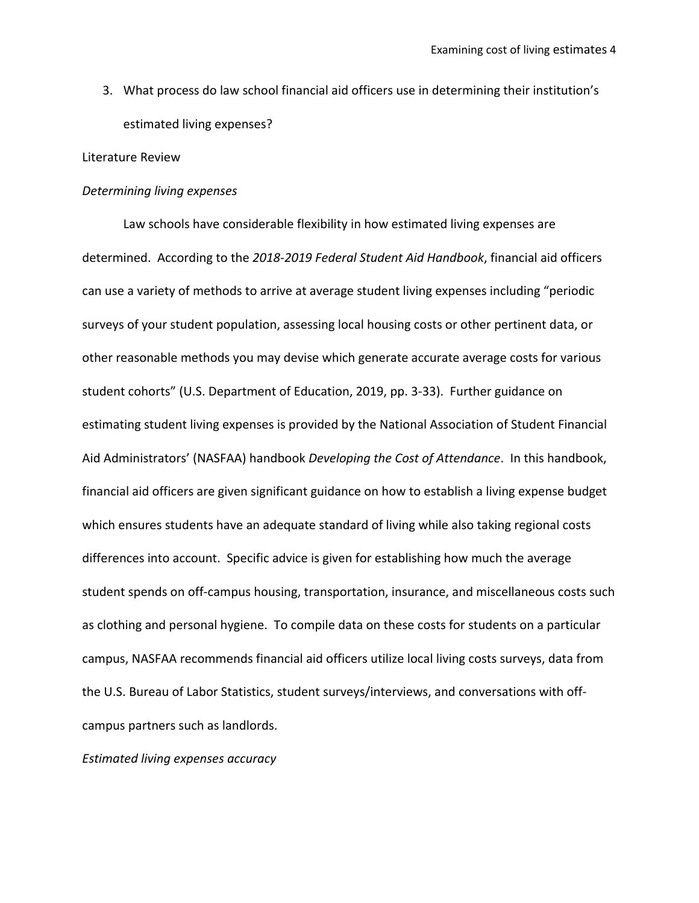3. What process do law school financial aid officers use in determining their institution's estimated living expenses?

### Literature Review

#### *Determining living expenses*

Law schools have considerable flexibility in how estimated living expenses are determined. According to the *2018-2019 Federal Student Aid Handbook*, financial aid officers can use a variety of methods to arrive at average student living expenses including "periodic surveys of your student population, assessing local housing costs or other pertinent data, or other reasonable methods you may devise which generate accurate average costs for various student cohorts" (U.S. Department of Education, 2019, pp. 3-33). Further guidance on estimating student living expenses is provided by the National Association of Student Financial Aid Administrators' (NASFAA) handbook *Developing the Cost of Attendance*. In this handbook, financial aid officers are given significant guidance on how to establish a living expense budget which ensures students have an adequate standard of living while also taking regional costs differences into account. Specific advice is given for establishing how much the average student spends on off-campus housing, transportation, insurance, and miscellaneous costs such as clothing and personal hygiene. To compile data on these costs for students on a particular campus, NASFAA recommends financial aid officers utilize local living costs surveys, data from the U.S. Bureau of Labor Statistics, student surveys/interviews, and conversations with offcampus partners such as landlords.

*Estimated living expenses accuracy*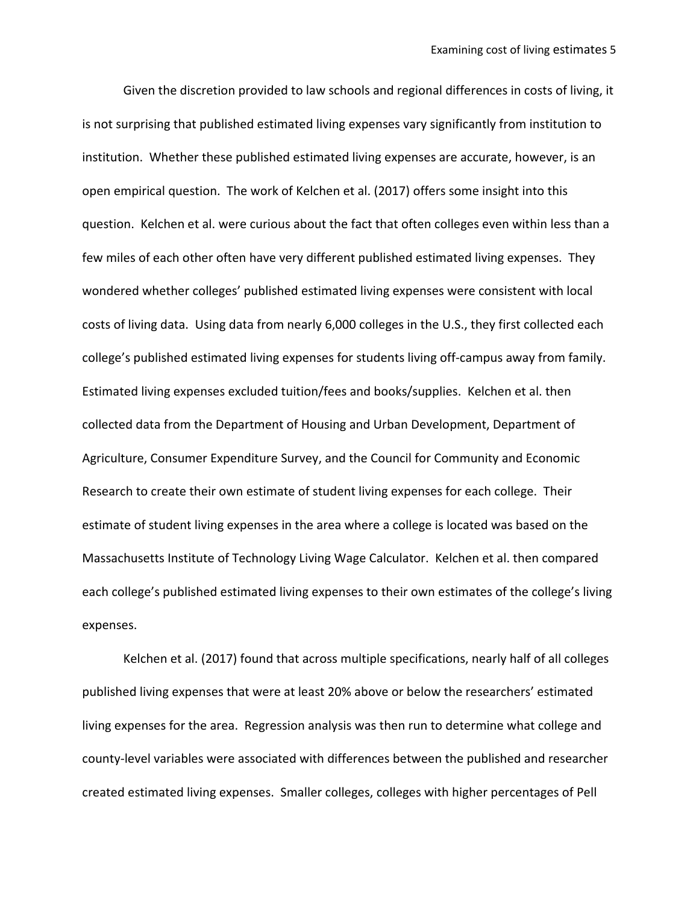Given the discretion provided to law schools and regional differences in costs of living, it is not surprising that published estimated living expenses vary significantly from institution to institution. Whether these published estimated living expenses are accurate, however, is an open empirical question. The work of Kelchen et al. (2017) offers some insight into this question. Kelchen et al. were curious about the fact that often colleges even within less than a few miles of each other often have very different published estimated living expenses. They wondered whether colleges' published estimated living expenses were consistent with local costs of living data. Using data from nearly 6,000 colleges in the U.S., they first collected each college's published estimated living expenses for students living off-campus away from family. Estimated living expenses excluded tuition/fees and books/supplies. Kelchen et al. then collected data from the Department of Housing and Urban Development, Department of Agriculture, Consumer Expenditure Survey, and the Council for Community and Economic Research to create their own estimate of student living expenses for each college. Their estimate of student living expenses in the area where a college is located was based on the Massachusetts Institute of Technology Living Wage Calculator. Kelchen et al. then compared each college's published estimated living expenses to their own estimates of the college's living expenses.

Kelchen et al. (2017) found that across multiple specifications, nearly half of all colleges published living expenses that were at least 20% above or below the researchers' estimated living expenses for the area. Regression analysis was then run to determine what college and county-level variables were associated with differences between the published and researcher created estimated living expenses. Smaller colleges, colleges with higher percentages of Pell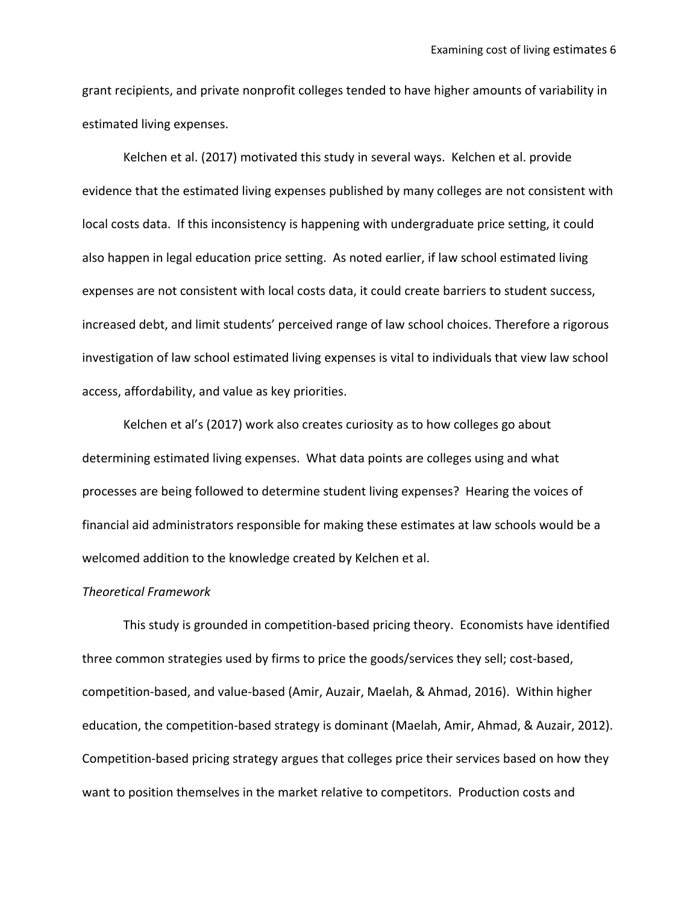grant recipients, and private nonprofit colleges tended to have higher amounts of variability in estimated living expenses.

Kelchen et al. (2017) motivated this study in several ways. Kelchen et al. provide evidence that the estimated living expenses published by many colleges are not consistent with local costs data. If this inconsistency is happening with undergraduate price setting, it could also happen in legal education price setting. As noted earlier, if law school estimated living expenses are not consistent with local costs data, it could create barriers to student success, increased debt, and limit students' perceived range of law school choices. Therefore a rigorous investigation of law school estimated living expenses is vital to individuals that view law school access, affordability, and value as key priorities.

Kelchen et al's (2017) work also creates curiosity as to how colleges go about determining estimated living expenses. What data points are colleges using and what processes are being followed to determine student living expenses? Hearing the voices of financial aid administrators responsible for making these estimates at law schools would be a welcomed addition to the knowledge created by Kelchen et al.

### *Theoretical Framework*

This study is grounded in competition-based pricing theory. Economists have identified three common strategies used by firms to price the goods/services they sell; cost-based, competition-based, and value-based (Amir, Auzair, Maelah, & Ahmad, 2016). Within higher education, the competition-based strategy is dominant (Maelah, Amir, Ahmad, & Auzair, 2012). Competition-based pricing strategy argues that colleges price their services based on how they want to position themselves in the market relative to competitors. Production costs and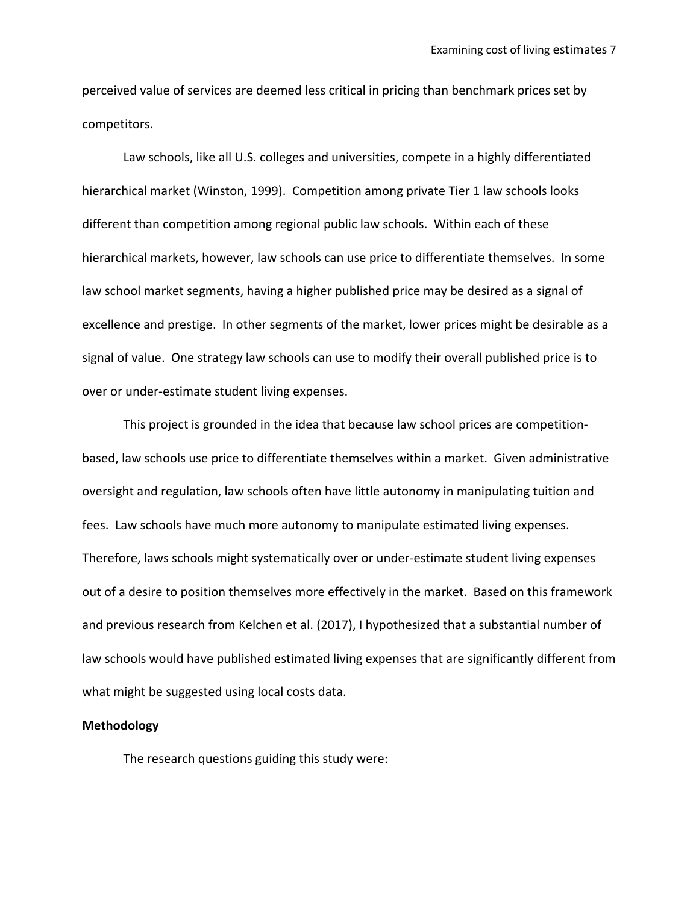perceived value of services are deemed less critical in pricing than benchmark prices set by competitors.

Law schools, like all U.S. colleges and universities, compete in a highly differentiated hierarchical market (Winston, 1999). Competition among private Tier 1 law schools looks different than competition among regional public law schools. Within each of these hierarchical markets, however, law schools can use price to differentiate themselves. In some law school market segments, having a higher published price may be desired as a signal of excellence and prestige. In other segments of the market, lower prices might be desirable as a signal of value. One strategy law schools can use to modify their overall published price is to over or under-estimate student living expenses.

This project is grounded in the idea that because law school prices are competitionbased, law schools use price to differentiate themselves within a market. Given administrative oversight and regulation, law schools often have little autonomy in manipulating tuition and fees. Law schools have much more autonomy to manipulate estimated living expenses. Therefore, laws schools might systematically over or under-estimate student living expenses out of a desire to position themselves more effectively in the market. Based on this framework and previous research from Kelchen et al. (2017), I hypothesized that a substantial number of law schools would have published estimated living expenses that are significantly different from what might be suggested using local costs data.

#### **Methodology**

The research questions guiding this study were: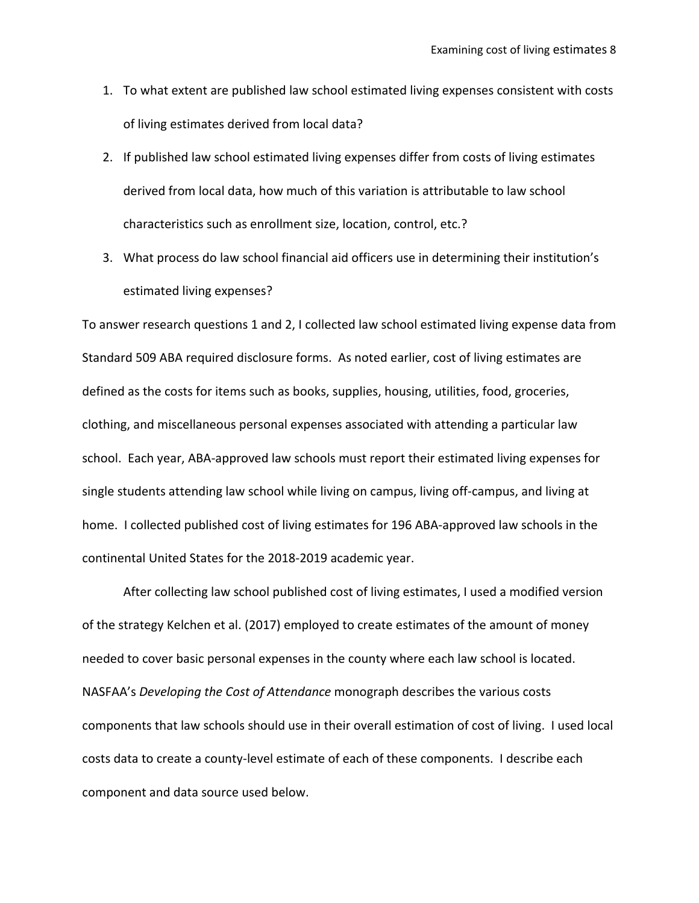- 1. To what extent are published law school estimated living expenses consistent with costs of living estimates derived from local data?
- 2. If published law school estimated living expenses differ from costs of living estimates derived from local data, how much of this variation is attributable to law school characteristics such as enrollment size, location, control, etc.?
- 3. What process do law school financial aid officers use in determining their institution's estimated living expenses?

To answer research questions 1 and 2, I collected law school estimated living expense data from Standard 509 ABA required disclosure forms. As noted earlier, cost of living estimates are defined as the costs for items such as books, supplies, housing, utilities, food, groceries, clothing, and miscellaneous personal expenses associated with attending a particular law school. Each year, ABA-approved law schools must report their estimated living expenses for single students attending law school while living on campus, living off-campus, and living at home. I collected published cost of living estimates for 196 ABA-approved law schools in the continental United States for the 2018-2019 academic year.

After collecting law school published cost of living estimates, I used a modified version of the strategy Kelchen et al. (2017) employed to create estimates of the amount of money needed to cover basic personal expenses in the county where each law school is located. NASFAA's *Developing the Cost of Attendance* monograph describes the various costs components that law schools should use in their overall estimation of cost of living. I used local costs data to create a county-level estimate of each of these components. I describe each component and data source used below.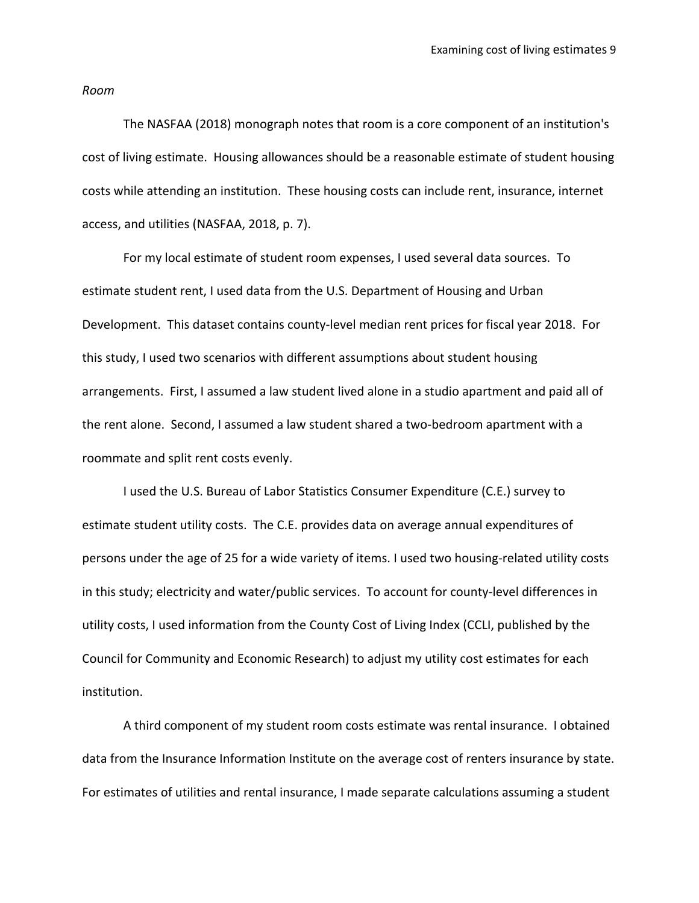*Room*

The NASFAA (2018) monograph notes that room is a core component of an institution's cost of living estimate. Housing allowances should be a reasonable estimate of student housing costs while attending an institution. These housing costs can include rent, insurance, internet access, and utilities (NASFAA, 2018, p. 7).

For my local estimate of student room expenses, I used several data sources. To estimate student rent, I used data from the U.S. Department of Housing and Urban Development. This dataset contains county-level median rent prices for fiscal year 2018. For this study, I used two scenarios with different assumptions about student housing arrangements. First, I assumed a law student lived alone in a studio apartment and paid all of the rent alone. Second, I assumed a law student shared a two-bedroom apartment with a roommate and split rent costs evenly.

I used the U.S. Bureau of Labor Statistics Consumer Expenditure (C.E.) survey to estimate student utility costs. The C.E. provides data on average annual expenditures of persons under the age of 25 for a wide variety of items. I used two housing-related utility costs in this study; electricity and water/public services. To account for county-level differences in utility costs, I used information from the County Cost of Living Index (CCLI, published by the Council for Community and Economic Research) to adjust my utility cost estimates for each institution.

A third component of my student room costs estimate was rental insurance. I obtained data from the Insurance Information Institute on the average cost of renters insurance by state. For estimates of utilities and rental insurance, I made separate calculations assuming a student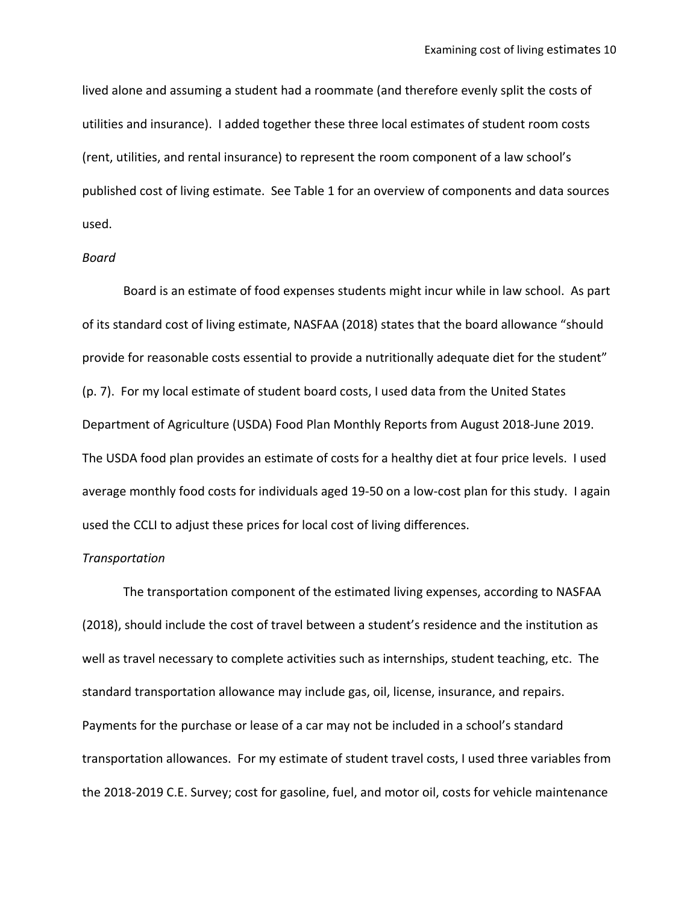lived alone and assuming a student had a roommate (and therefore evenly split the costs of utilities and insurance). I added together these three local estimates of student room costs (rent, utilities, and rental insurance) to represent the room component of a law school's published cost of living estimate. See Table 1 for an overview of components and data sources used.

#### *Board*

Board is an estimate of food expenses students might incur while in law school. As part of its standard cost of living estimate, NASFAA (2018) states that the board allowance "should provide for reasonable costs essential to provide a nutritionally adequate diet for the student" (p. 7). For my local estimate of student board costs, I used data from the United States Department of Agriculture (USDA) Food Plan Monthly Reports from August 2018-June 2019. The USDA food plan provides an estimate of costs for a healthy diet at four price levels. I used average monthly food costs for individuals aged 19-50 on a low-cost plan for this study. I again used the CCLI to adjust these prices for local cost of living differences.

### *Transportation*

The transportation component of the estimated living expenses, according to NASFAA (2018), should include the cost of travel between a student's residence and the institution as well as travel necessary to complete activities such as internships, student teaching, etc. The standard transportation allowance may include gas, oil, license, insurance, and repairs. Payments for the purchase or lease of a car may not be included in a school's standard transportation allowances. For my estimate of student travel costs, I used three variables from the 2018-2019 C.E. Survey; cost for gasoline, fuel, and motor oil, costs for vehicle maintenance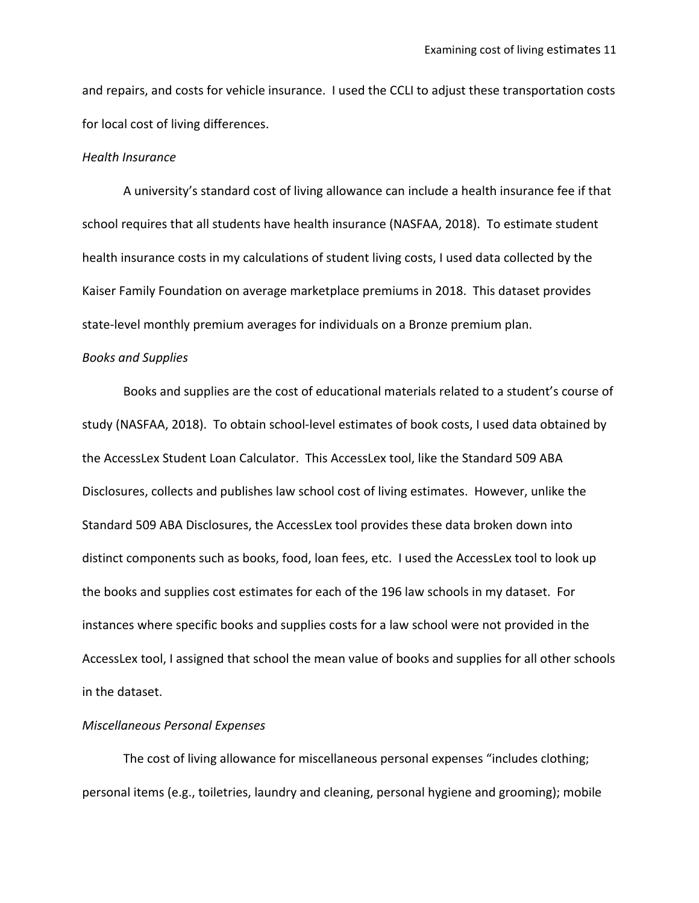and repairs, and costs for vehicle insurance. I used the CCLI to adjust these transportation costs for local cost of living differences.

### *Health Insurance*

A university's standard cost of living allowance can include a health insurance fee if that school requires that all students have health insurance (NASFAA, 2018). To estimate student health insurance costs in my calculations of student living costs, I used data collected by the Kaiser Family Foundation on average marketplace premiums in 2018. This dataset provides state-level monthly premium averages for individuals on a Bronze premium plan.

### *Books and Supplies*

Books and supplies are the cost of educational materials related to a student's course of study (NASFAA, 2018). To obtain school-level estimates of book costs, I used data obtained by the AccessLex Student Loan Calculator. This AccessLex tool, like the Standard 509 ABA Disclosures, collects and publishes law school cost of living estimates. However, unlike the Standard 509 ABA Disclosures, the AccessLex tool provides these data broken down into distinct components such as books, food, loan fees, etc. I used the AccessLex tool to look up the books and supplies cost estimates for each of the 196 law schools in my dataset. For instances where specific books and supplies costs for a law school were not provided in the AccessLex tool, I assigned that school the mean value of books and supplies for all other schools in the dataset.

#### *Miscellaneous Personal Expenses*

The cost of living allowance for miscellaneous personal expenses "includes clothing; personal items (e.g., toiletries, laundry and cleaning, personal hygiene and grooming); mobile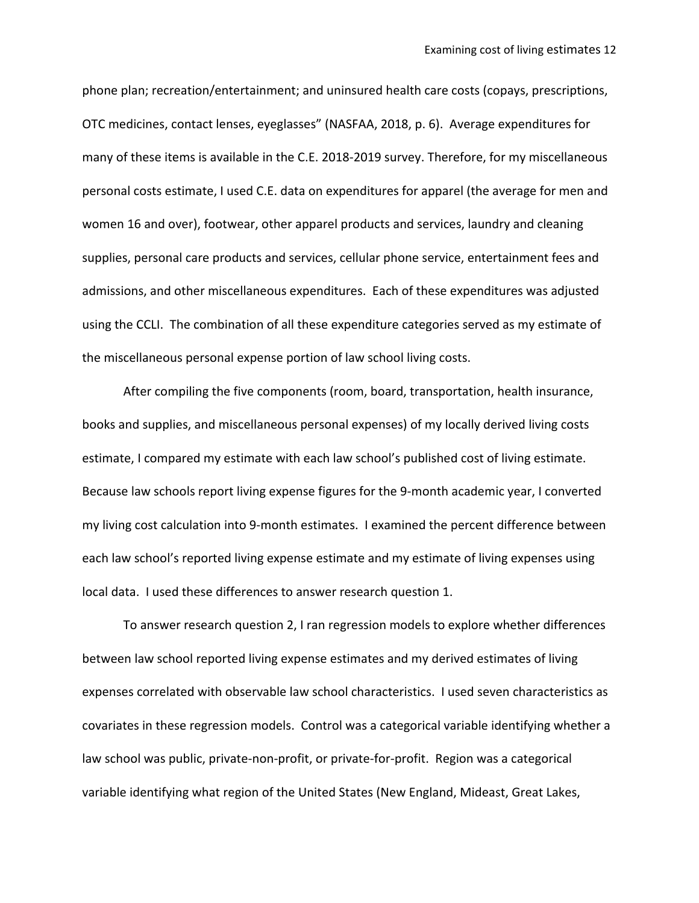phone plan; recreation/entertainment; and uninsured health care costs (copays, prescriptions, OTC medicines, contact lenses, eyeglasses" (NASFAA, 2018, p. 6). Average expenditures for many of these items is available in the C.E. 2018-2019 survey. Therefore, for my miscellaneous personal costs estimate, I used C.E. data on expenditures for apparel (the average for men and women 16 and over), footwear, other apparel products and services, laundry and cleaning supplies, personal care products and services, cellular phone service, entertainment fees and admissions, and other miscellaneous expenditures. Each of these expenditures was adjusted using the CCLI. The combination of all these expenditure categories served as my estimate of the miscellaneous personal expense portion of law school living costs.

After compiling the five components (room, board, transportation, health insurance, books and supplies, and miscellaneous personal expenses) of my locally derived living costs estimate, I compared my estimate with each law school's published cost of living estimate. Because law schools report living expense figures for the 9-month academic year, I converted my living cost calculation into 9-month estimates. I examined the percent difference between each law school's reported living expense estimate and my estimate of living expenses using local data. I used these differences to answer research question 1.

To answer research question 2, I ran regression models to explore whether differences between law school reported living expense estimates and my derived estimates of living expenses correlated with observable law school characteristics. I used seven characteristics as covariates in these regression models. Control was a categorical variable identifying whether a law school was public, private-non-profit, or private-for-profit. Region was a categorical variable identifying what region of the United States (New England, Mideast, Great Lakes,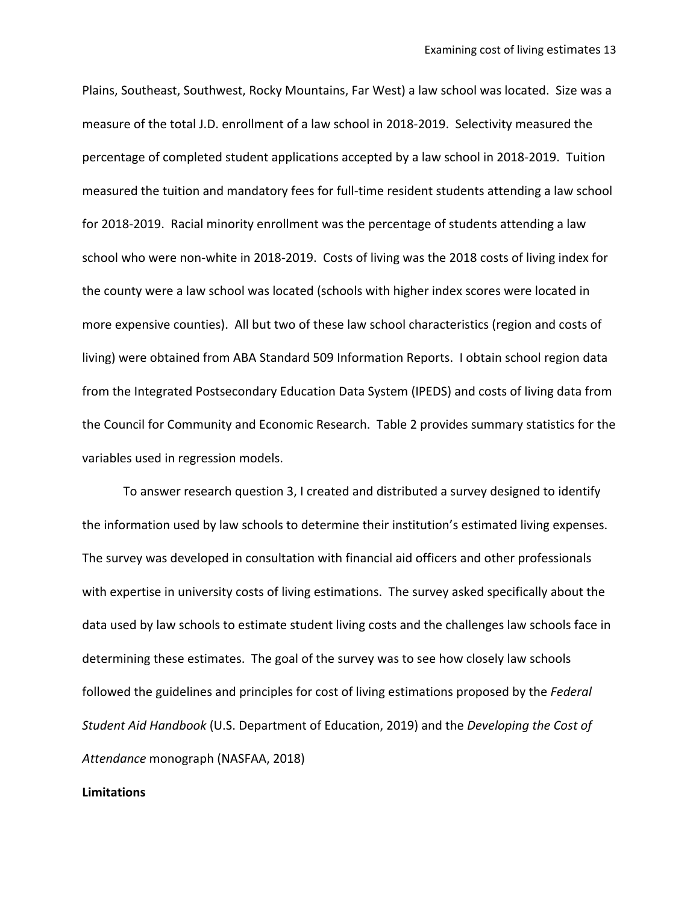Plains, Southeast, Southwest, Rocky Mountains, Far West) a law school was located. Size was a measure of the total J.D. enrollment of a law school in 2018-2019. Selectivity measured the percentage of completed student applications accepted by a law school in 2018-2019. Tuition measured the tuition and mandatory fees for full-time resident students attending a law school for 2018-2019. Racial minority enrollment was the percentage of students attending a law school who were non-white in 2018-2019. Costs of living was the 2018 costs of living index for the county were a law school was located (schools with higher index scores were located in more expensive counties). All but two of these law school characteristics (region and costs of living) were obtained from ABA Standard 509 Information Reports. I obtain school region data from the Integrated Postsecondary Education Data System (IPEDS) and costs of living data from the Council for Community and Economic Research. Table 2 provides summary statistics for the variables used in regression models.

To answer research question 3, I created and distributed a survey designed to identify the information used by law schools to determine their institution's estimated living expenses. The survey was developed in consultation with financial aid officers and other professionals with expertise in university costs of living estimations. The survey asked specifically about the data used by law schools to estimate student living costs and the challenges law schools face in determining these estimates. The goal of the survey was to see how closely law schools followed the guidelines and principles for cost of living estimations proposed by the *Federal Student Aid Handbook* (U.S. Department of Education, 2019) and the *Developing the Cost of Attendance* monograph (NASFAA, 2018)

### **Limitations**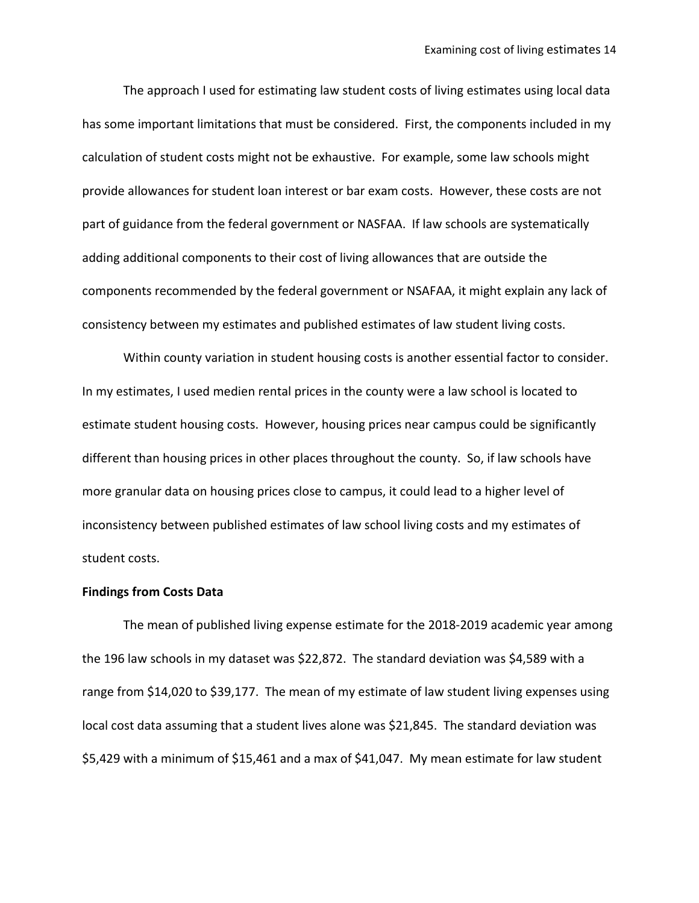The approach I used for estimating law student costs of living estimates using local data has some important limitations that must be considered. First, the components included in my calculation of student costs might not be exhaustive. For example, some law schools might provide allowances for student loan interest or bar exam costs. However, these costs are not part of guidance from the federal government or NASFAA. If law schools are systematically adding additional components to their cost of living allowances that are outside the components recommended by the federal government or NSAFAA, it might explain any lack of consistency between my estimates and published estimates of law student living costs.

Within county variation in student housing costs is another essential factor to consider. In my estimates, I used medien rental prices in the county were a law school is located to estimate student housing costs. However, housing prices near campus could be significantly different than housing prices in other places throughout the county. So, if law schools have more granular data on housing prices close to campus, it could lead to a higher level of inconsistency between published estimates of law school living costs and my estimates of student costs.

#### **Findings from Costs Data**

The mean of published living expense estimate for the 2018-2019 academic year among the 196 law schools in my dataset was \$22,872. The standard deviation was \$4,589 with a range from \$14,020 to \$39,177. The mean of my estimate of law student living expenses using local cost data assuming that a student lives alone was \$21,845. The standard deviation was \$5,429 with a minimum of \$15,461 and a max of \$41,047. My mean estimate for law student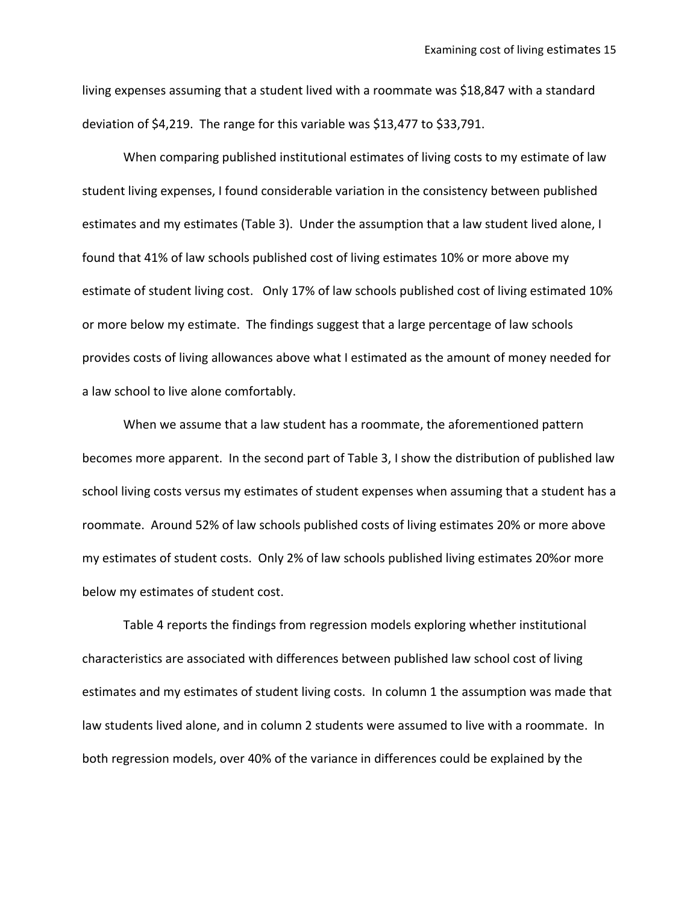living expenses assuming that a student lived with a roommate was \$18,847 with a standard deviation of \$4,219. The range for this variable was \$13,477 to \$33,791.

When comparing published institutional estimates of living costs to my estimate of law student living expenses, I found considerable variation in the consistency between published estimates and my estimates (Table 3). Under the assumption that a law student lived alone, I found that 41% of law schools published cost of living estimates 10% or more above my estimate of student living cost. Only 17% of law schools published cost of living estimated 10% or more below my estimate. The findings suggest that a large percentage of law schools provides costs of living allowances above what I estimated as the amount of money needed for a law school to live alone comfortably.

When we assume that a law student has a roommate, the aforementioned pattern becomes more apparent. In the second part of Table 3, I show the distribution of published law school living costs versus my estimates of student expenses when assuming that a student has a roommate. Around 52% of law schools published costs of living estimates 20% or more above my estimates of student costs. Only 2% of law schools published living estimates 20%or more below my estimates of student cost.

Table 4 reports the findings from regression models exploring whether institutional characteristics are associated with differences between published law school cost of living estimates and my estimates of student living costs. In column 1 the assumption was made that law students lived alone, and in column 2 students were assumed to live with a roommate. In both regression models, over 40% of the variance in differences could be explained by the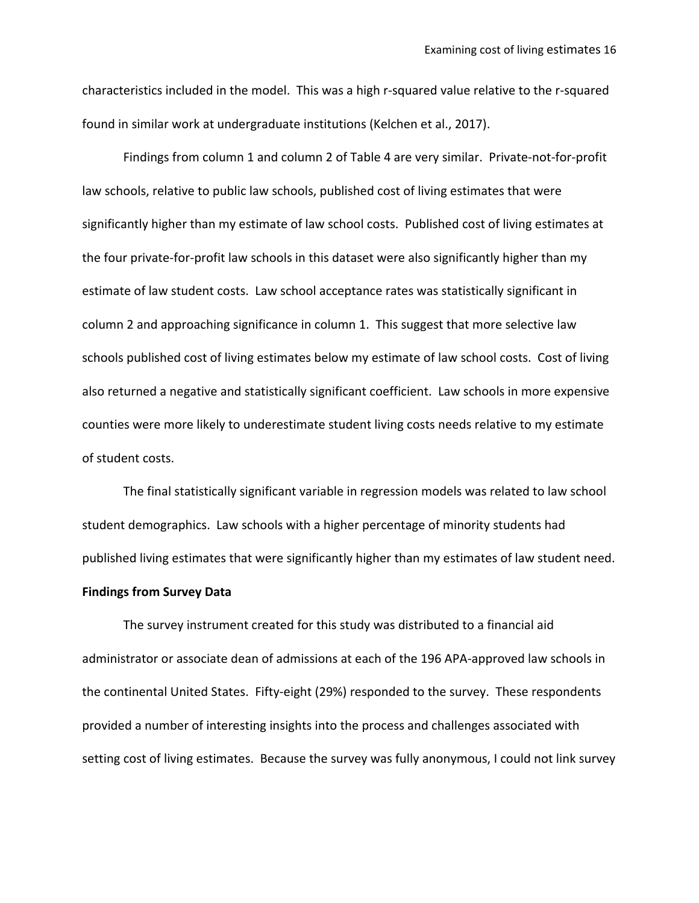characteristics included in the model. This was a high r-squared value relative to the r-squared found in similar work at undergraduate institutions (Kelchen et al., 2017).

Findings from column 1 and column 2 of Table 4 are very similar. Private-not-for-profit law schools, relative to public law schools, published cost of living estimates that were significantly higher than my estimate of law school costs. Published cost of living estimates at the four private-for-profit law schools in this dataset were also significantly higher than my estimate of law student costs. Law school acceptance rates was statistically significant in column 2 and approaching significance in column 1. This suggest that more selective law schools published cost of living estimates below my estimate of law school costs. Cost of living also returned a negative and statistically significant coefficient. Law schools in more expensive counties were more likely to underestimate student living costs needs relative to my estimate of student costs.

The final statistically significant variable in regression models was related to law school student demographics. Law schools with a higher percentage of minority students had published living estimates that were significantly higher than my estimates of law student need.

## **Findings from Survey Data**

The survey instrument created for this study was distributed to a financial aid administrator or associate dean of admissions at each of the 196 APA-approved law schools in the continental United States. Fifty-eight (29%) responded to the survey. These respondents provided a number of interesting insights into the process and challenges associated with setting cost of living estimates. Because the survey was fully anonymous, I could not link survey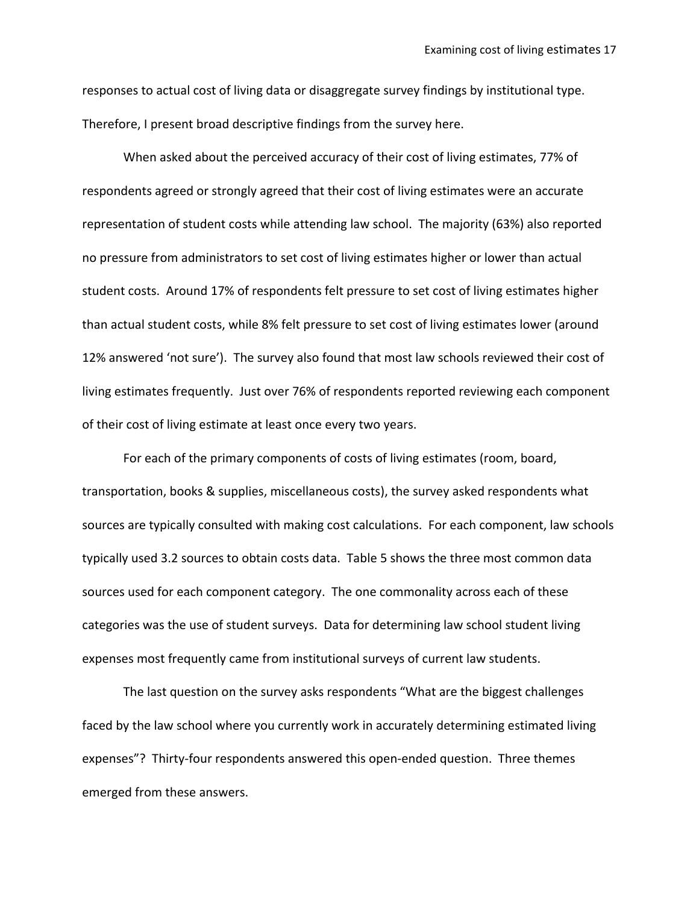responses to actual cost of living data or disaggregate survey findings by institutional type. Therefore, I present broad descriptive findings from the survey here.

When asked about the perceived accuracy of their cost of living estimates, 77% of respondents agreed or strongly agreed that their cost of living estimates were an accurate representation of student costs while attending law school. The majority (63%) also reported no pressure from administrators to set cost of living estimates higher or lower than actual student costs. Around 17% of respondents felt pressure to set cost of living estimates higher than actual student costs, while 8% felt pressure to set cost of living estimates lower (around 12% answered 'not sure'). The survey also found that most law schools reviewed their cost of living estimates frequently. Just over 76% of respondents reported reviewing each component of their cost of living estimate at least once every two years.

For each of the primary components of costs of living estimates (room, board, transportation, books & supplies, miscellaneous costs), the survey asked respondents what sources are typically consulted with making cost calculations. For each component, law schools typically used 3.2 sources to obtain costs data. Table 5 shows the three most common data sources used for each component category. The one commonality across each of these categories was the use of student surveys. Data for determining law school student living expenses most frequently came from institutional surveys of current law students.

The last question on the survey asks respondents "What are the biggest challenges faced by the law school where you currently work in accurately determining estimated living expenses"? Thirty-four respondents answered this open-ended question. Three themes emerged from these answers.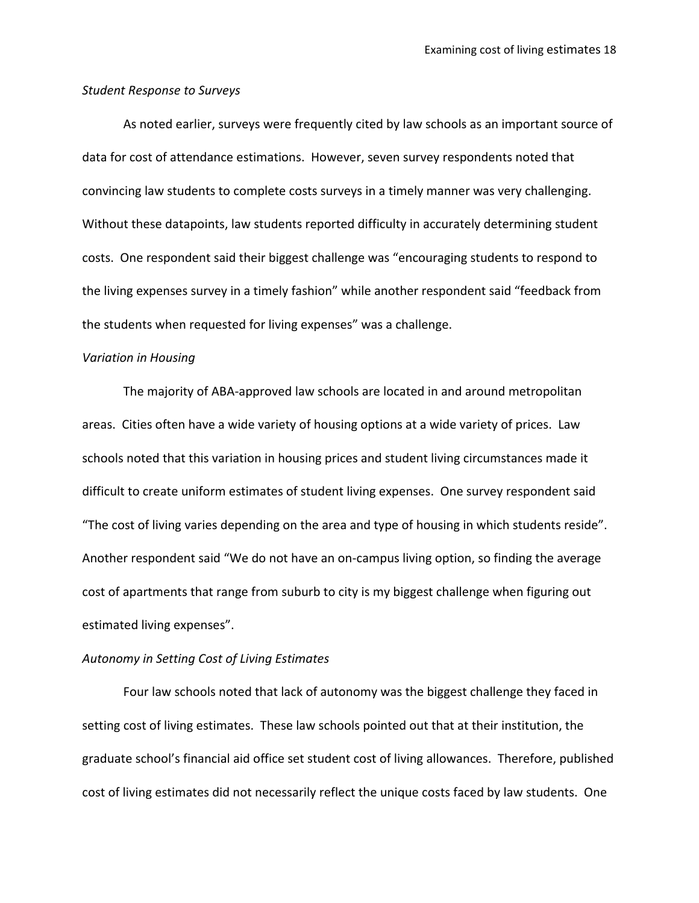#### *Student Response to Surveys*

As noted earlier, surveys were frequently cited by law schools as an important source of data for cost of attendance estimations. However, seven survey respondents noted that convincing law students to complete costs surveys in a timely manner was very challenging. Without these datapoints, law students reported difficulty in accurately determining student costs. One respondent said their biggest challenge was "encouraging students to respond to the living expenses survey in a timely fashion" while another respondent said "feedback from the students when requested for living expenses" was a challenge.

### *Variation in Housing*

The majority of ABA-approved law schools are located in and around metropolitan areas. Cities often have a wide variety of housing options at a wide variety of prices. Law schools noted that this variation in housing prices and student living circumstances made it difficult to create uniform estimates of student living expenses. One survey respondent said "The cost of living varies depending on the area and type of housing in which students reside". Another respondent said "We do not have an on-campus living option, so finding the average cost of apartments that range from suburb to city is my biggest challenge when figuring out estimated living expenses".

### *Autonomy in Setting Cost of Living Estimates*

Four law schools noted that lack of autonomy was the biggest challenge they faced in setting cost of living estimates. These law schools pointed out that at their institution, the graduate school's financial aid office set student cost of living allowances. Therefore, published cost of living estimates did not necessarily reflect the unique costs faced by law students. One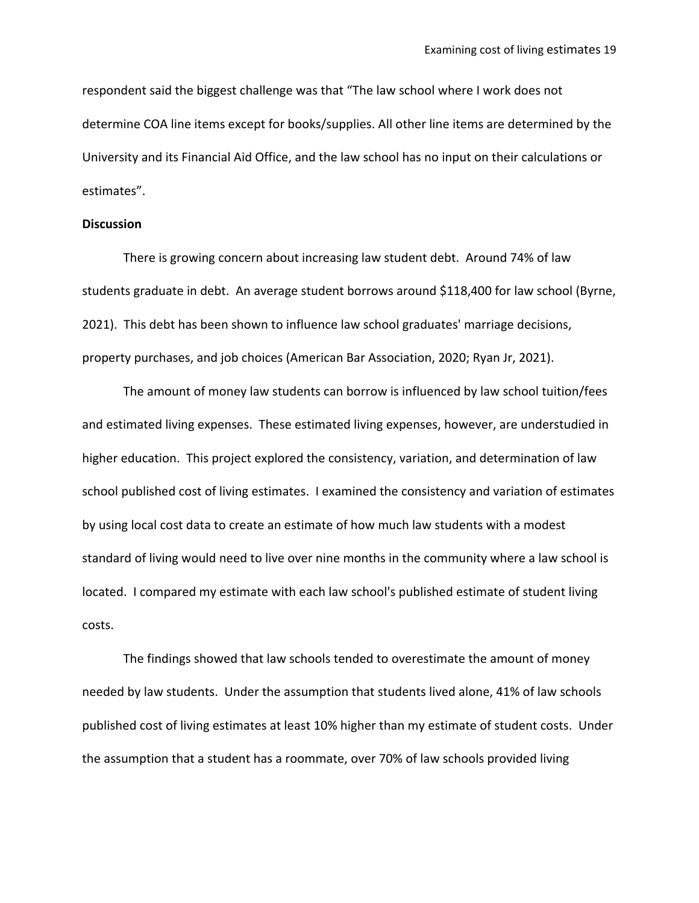respondent said the biggest challenge was that "The law school where I work does not determine COA line items except for books/supplies. All other line items are determined by the University and its Financial Aid Office, and the law school has no input on their calculations or estimates".

#### **Discussion**

There is growing concern about increasing law student debt. Around 74% of law students graduate in debt. An average student borrows around \$118,400 for law school (Byrne, 2021). This debt has been shown to influence law school graduates' marriage decisions, property purchases, and job choices (American Bar Association, 2020; Ryan Jr, 2021).

The amount of money law students can borrow is influenced by law school tuition/fees and estimated living expenses. These estimated living expenses, however, are understudied in higher education. This project explored the consistency, variation, and determination of law school published cost of living estimates. I examined the consistency and variation of estimates by using local cost data to create an estimate of how much law students with a modest standard of living would need to live over nine months in the community where a law school is located. I compared my estimate with each law school's published estimate of student living costs.

The findings showed that law schools tended to overestimate the amount of money needed by law students. Under the assumption that students lived alone, 41% of law schools published cost of living estimates at least 10% higher than my estimate of student costs. Under the assumption that a student has a roommate, over 70% of law schools provided living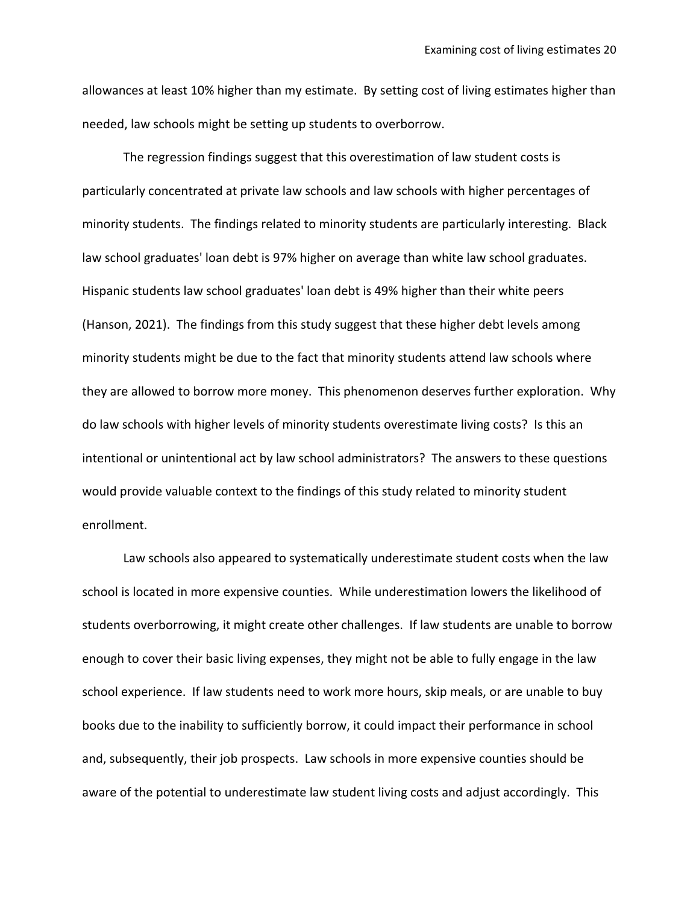allowances at least 10% higher than my estimate. By setting cost of living estimates higher than needed, law schools might be setting up students to overborrow.

The regression findings suggest that this overestimation of law student costs is particularly concentrated at private law schools and law schools with higher percentages of minority students. The findings related to minority students are particularly interesting. Black law school graduates' loan debt is 97% higher on average than white law school graduates. Hispanic students law school graduates' loan debt is 49% higher than their white peers (Hanson, 2021). The findings from this study suggest that these higher debt levels among minority students might be due to the fact that minority students attend law schools where they are allowed to borrow more money. This phenomenon deserves further exploration. Why do law schools with higher levels of minority students overestimate living costs? Is this an intentional or unintentional act by law school administrators? The answers to these questions would provide valuable context to the findings of this study related to minority student enrollment.

Law schools also appeared to systematically underestimate student costs when the law school is located in more expensive counties. While underestimation lowers the likelihood of students overborrowing, it might create other challenges. If law students are unable to borrow enough to cover their basic living expenses, they might not be able to fully engage in the law school experience. If law students need to work more hours, skip meals, or are unable to buy books due to the inability to sufficiently borrow, it could impact their performance in school and, subsequently, their job prospects. Law schools in more expensive counties should be aware of the potential to underestimate law student living costs and adjust accordingly. This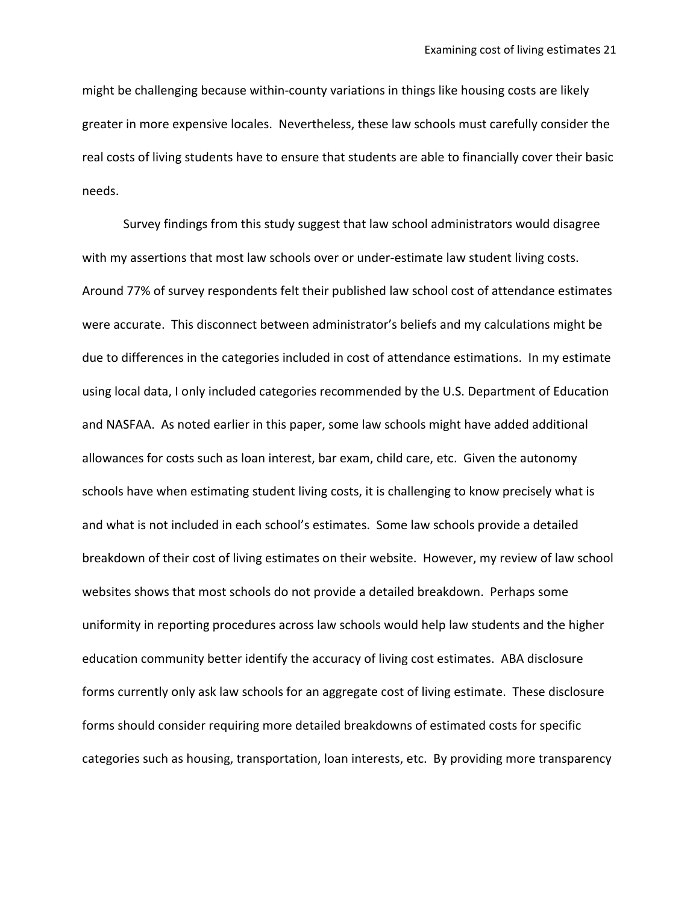might be challenging because within-county variations in things like housing costs are likely greater in more expensive locales. Nevertheless, these law schools must carefully consider the real costs of living students have to ensure that students are able to financially cover their basic needs.

Survey findings from this study suggest that law school administrators would disagree with my assertions that most law schools over or under-estimate law student living costs. Around 77% of survey respondents felt their published law school cost of attendance estimates were accurate. This disconnect between administrator's beliefs and my calculations might be due to differences in the categories included in cost of attendance estimations. In my estimate using local data, I only included categories recommended by the U.S. Department of Education and NASFAA. As noted earlier in this paper, some law schools might have added additional allowances for costs such as loan interest, bar exam, child care, etc. Given the autonomy schools have when estimating student living costs, it is challenging to know precisely what is and what is not included in each school's estimates. Some law schools provide a detailed breakdown of their cost of living estimates on their website. However, my review of law school websites shows that most schools do not provide a detailed breakdown. Perhaps some uniformity in reporting procedures across law schools would help law students and the higher education community better identify the accuracy of living cost estimates. ABA disclosure forms currently only ask law schools for an aggregate cost of living estimate. These disclosure forms should consider requiring more detailed breakdowns of estimated costs for specific categories such as housing, transportation, loan interests, etc. By providing more transparency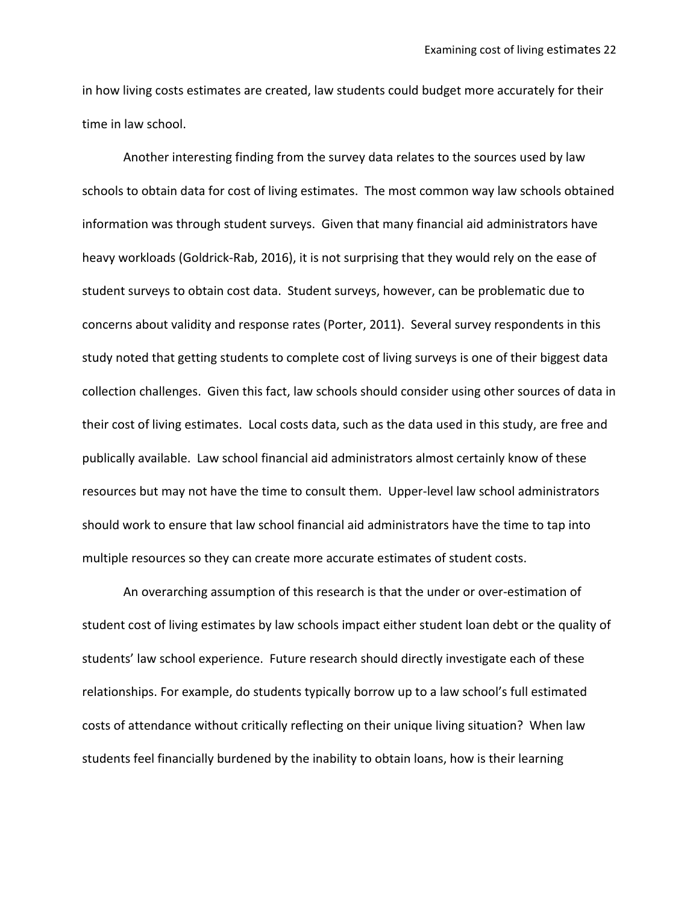in how living costs estimates are created, law students could budget more accurately for their time in law school.

Another interesting finding from the survey data relates to the sources used by law schools to obtain data for cost of living estimates. The most common way law schools obtained information was through student surveys. Given that many financial aid administrators have heavy workloads (Goldrick-Rab, 2016), it is not surprising that they would rely on the ease of student surveys to obtain cost data. Student surveys, however, can be problematic due to concerns about validity and response rates (Porter, 2011). Several survey respondents in this study noted that getting students to complete cost of living surveys is one of their biggest data collection challenges. Given this fact, law schools should consider using other sources of data in their cost of living estimates. Local costs data, such as the data used in this study, are free and publically available. Law school financial aid administrators almost certainly know of these resources but may not have the time to consult them. Upper-level law school administrators should work to ensure that law school financial aid administrators have the time to tap into multiple resources so they can create more accurate estimates of student costs.

An overarching assumption of this research is that the under or over-estimation of student cost of living estimates by law schools impact either student loan debt or the quality of students' law school experience. Future research should directly investigate each of these relationships. For example, do students typically borrow up to a law school's full estimated costs of attendance without critically reflecting on their unique living situation? When law students feel financially burdened by the inability to obtain loans, how is their learning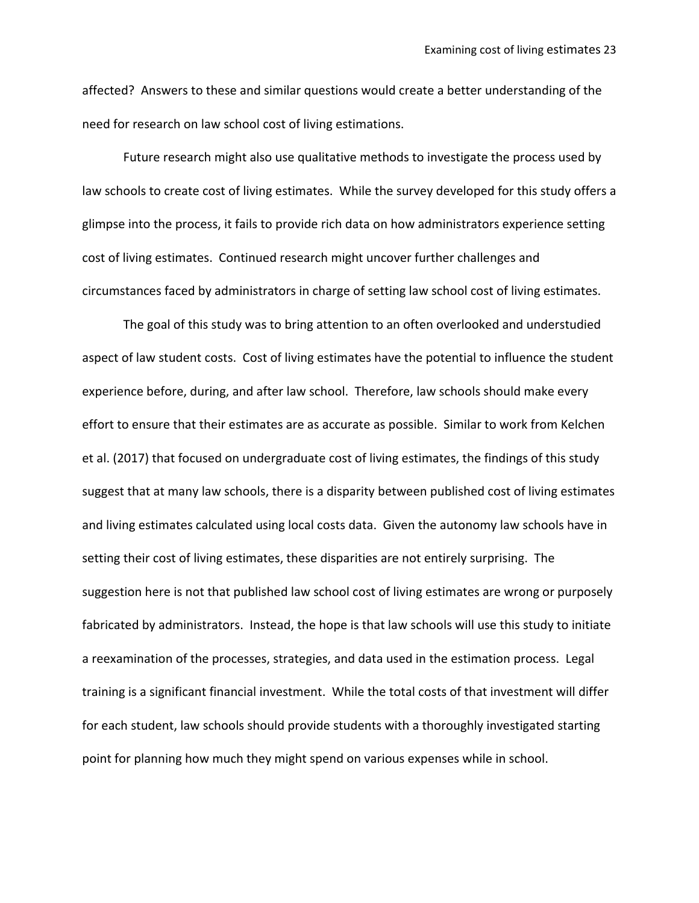affected? Answers to these and similar questions would create a better understanding of the need for research on law school cost of living estimations.

Future research might also use qualitative methods to investigate the process used by law schools to create cost of living estimates. While the survey developed for this study offers a glimpse into the process, it fails to provide rich data on how administrators experience setting cost of living estimates. Continued research might uncover further challenges and circumstances faced by administrators in charge of setting law school cost of living estimates.

The goal of this study was to bring attention to an often overlooked and understudied aspect of law student costs. Cost of living estimates have the potential to influence the student experience before, during, and after law school. Therefore, law schools should make every effort to ensure that their estimates are as accurate as possible. Similar to work from Kelchen et al. (2017) that focused on undergraduate cost of living estimates, the findings of this study suggest that at many law schools, there is a disparity between published cost of living estimates and living estimates calculated using local costs data. Given the autonomy law schools have in setting their cost of living estimates, these disparities are not entirely surprising. The suggestion here is not that published law school cost of living estimates are wrong or purposely fabricated by administrators. Instead, the hope is that law schools will use this study to initiate a reexamination of the processes, strategies, and data used in the estimation process. Legal training is a significant financial investment. While the total costs of that investment will differ for each student, law schools should provide students with a thoroughly investigated starting point for planning how much they might spend on various expenses while in school.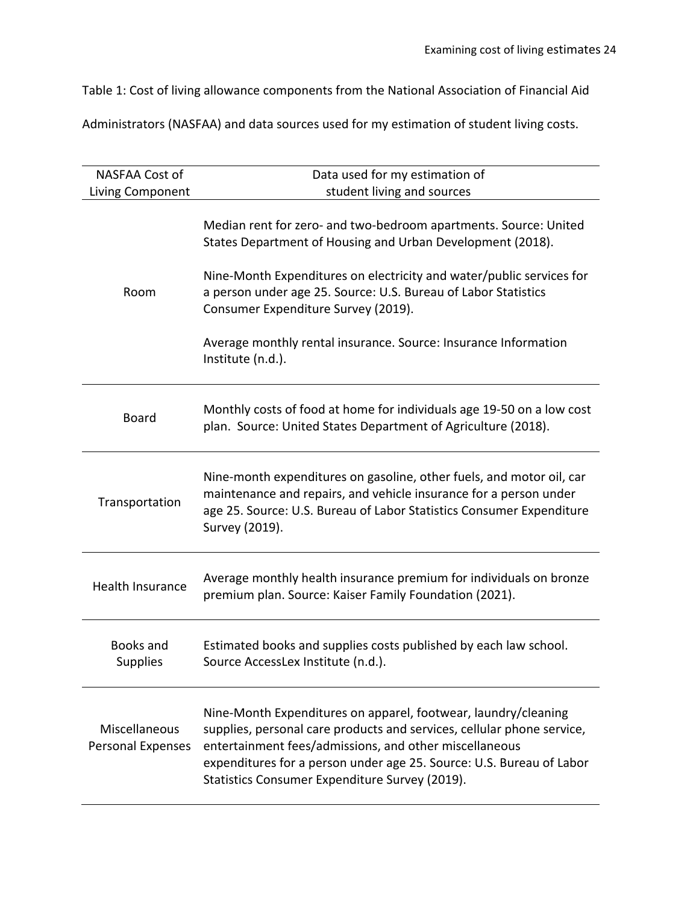Table 1: Cost of living allowance components from the National Association of Financial Aid

Administrators (NASFAA) and data sources used for my estimation of student living costs.

| NASFAA Cost of                     | Data used for my estimation of                                                                                                                                                                                                                                                                                               |
|------------------------------------|------------------------------------------------------------------------------------------------------------------------------------------------------------------------------------------------------------------------------------------------------------------------------------------------------------------------------|
| Living Component                   | student living and sources                                                                                                                                                                                                                                                                                                   |
|                                    | Median rent for zero- and two-bedroom apartments. Source: United<br>States Department of Housing and Urban Development (2018).                                                                                                                                                                                               |
| Room                               | Nine-Month Expenditures on electricity and water/public services for<br>a person under age 25. Source: U.S. Bureau of Labor Statistics<br>Consumer Expenditure Survey (2019).                                                                                                                                                |
|                                    | Average monthly rental insurance. Source: Insurance Information<br>Institute (n.d.).                                                                                                                                                                                                                                         |
| <b>Board</b>                       | Monthly costs of food at home for individuals age 19-50 on a low cost<br>plan. Source: United States Department of Agriculture (2018).                                                                                                                                                                                       |
| Transportation                     | Nine-month expenditures on gasoline, other fuels, and motor oil, car<br>maintenance and repairs, and vehicle insurance for a person under<br>age 25. Source: U.S. Bureau of Labor Statistics Consumer Expenditure<br>Survey (2019).                                                                                          |
| <b>Health Insurance</b>            | Average monthly health insurance premium for individuals on bronze<br>premium plan. Source: Kaiser Family Foundation (2021).                                                                                                                                                                                                 |
| Books and<br><b>Supplies</b>       | Estimated books and supplies costs published by each law school.<br>Source AccessLex Institute (n.d.).                                                                                                                                                                                                                       |
| Miscellaneous<br>Personal Expenses | Nine-Month Expenditures on apparel, footwear, laundry/cleaning<br>supplies, personal care products and services, cellular phone service,<br>entertainment fees/admissions, and other miscellaneous<br>expenditures for a person under age 25. Source: U.S. Bureau of Labor<br>Statistics Consumer Expenditure Survey (2019). |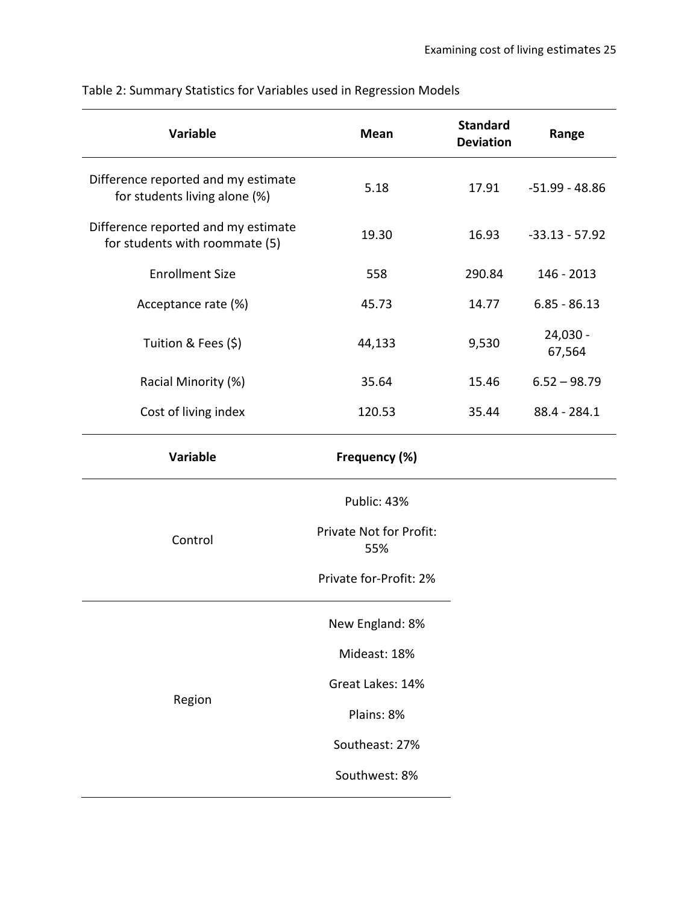| <b>Variable</b>                                                       | Mean                           | <b>Standard</b><br><b>Deviation</b> | Range              |
|-----------------------------------------------------------------------|--------------------------------|-------------------------------------|--------------------|
| Difference reported and my estimate<br>for students living alone (%)  | 5.18                           | 17.91                               | $-51.99 - 48.86$   |
| Difference reported and my estimate<br>for students with roommate (5) | 19.30                          | 16.93                               | $-33.13 - 57.92$   |
| <b>Enrollment Size</b>                                                | 558                            | 290.84                              | 146 - 2013         |
| Acceptance rate (%)                                                   | 45.73                          | 14.77                               | $6.85 - 86.13$     |
| Tuition & Fees (\$)                                                   | 44,133                         | 9,530                               | 24,030 -<br>67,564 |
| Racial Minority (%)                                                   | 35.64                          | 15.46                               | $6.52 - 98.79$     |
| Cost of living index                                                  | 120.53                         | 35.44                               | 88.4 - 284.1       |
| <b>Variable</b>                                                       | Frequency (%)                  |                                     |                    |
|                                                                       | Public: 43%                    |                                     |                    |
| Control                                                               | Private Not for Profit:<br>55% |                                     |                    |
|                                                                       | Private for-Profit: 2%         |                                     |                    |
|                                                                       | New England: 8%                |                                     |                    |
|                                                                       | Mideast: 18%                   |                                     |                    |
|                                                                       | Great Lakes: 14%               |                                     |                    |
| Region                                                                | Plains: 8%                     |                                     |                    |
|                                                                       | Southeast: 27%                 |                                     |                    |
|                                                                       | Southwest: 8%                  |                                     |                    |
|                                                                       |                                |                                     |                    |

Table 2: Summary Statistics for Variables used in Regression Models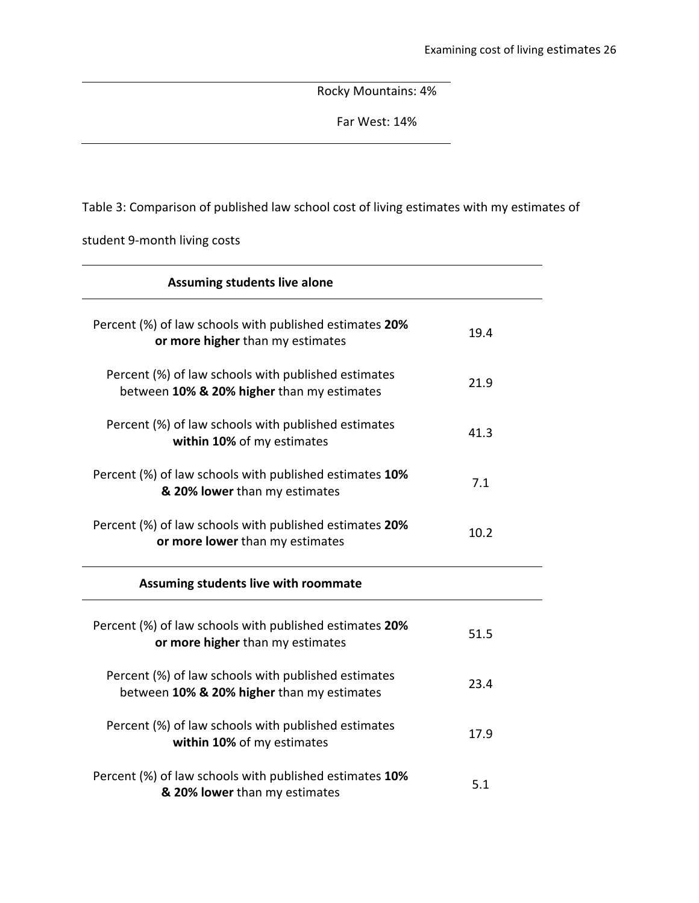Rocky Mountains: 4%

Far West: 14%

Table 3: Comparison of published law school cost of living estimates with my estimates of

student 9-month living costs

| <b>Assuming students live alone</b>                                                               |      |  |
|---------------------------------------------------------------------------------------------------|------|--|
| Percent (%) of law schools with published estimates 20%<br>or more higher than my estimates       | 19.4 |  |
| Percent (%) of law schools with published estimates<br>between 10% & 20% higher than my estimates | 21.9 |  |
| Percent (%) of law schools with published estimates<br>within 10% of my estimates                 | 41.3 |  |
| Percent (%) of law schools with published estimates 10%<br>& 20% lower than my estimates          | 7.1  |  |
| Percent (%) of law schools with published estimates 20%<br>or more lower than my estimates        | 10.2 |  |
| Assuming students live with roommate                                                              |      |  |
| Percent (%) of law schools with published estimates 20%<br>or more higher than my estimates       | 51.5 |  |
| Percent (%) of law schools with published estimates<br>between 10% & 20% higher than my estimates | 23.4 |  |
| Percent (%) of law schools with published estimates<br>within 10% of my estimates                 | 17.9 |  |
| Percent (%) of law schools with published estimates 10%<br>& 20% lower than my estimates          | 5.1  |  |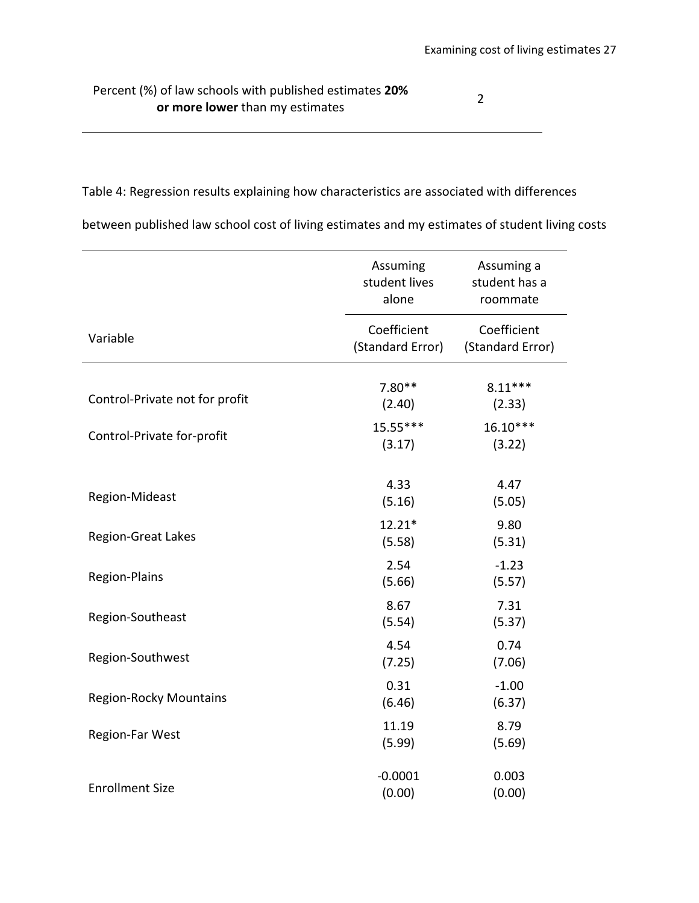Percent (%) of law schools with published estimates **20% or law schools with published estimates 20%** 

Table 4: Regression results explaining how characteristics are associated with differences

between published law school cost of living estimates and my estimates of student living costs

|                                | Assuming<br>student lives<br>alone | Assuming a<br>student has a<br>roommate |
|--------------------------------|------------------------------------|-----------------------------------------|
| Variable                       | Coefficient<br>(Standard Error)    | Coefficient<br>(Standard Error)         |
| Control-Private not for profit | $7.80**$<br>(2.40)                 | $8.11***$<br>(2.33)                     |
| Control-Private for-profit     | 15.55***<br>(3.17)                 | $16.10***$<br>(3.22)                    |
| Region-Mideast                 | 4.33<br>(5.16)                     | 4.47<br>(5.05)                          |
| <b>Region-Great Lakes</b>      | $12.21*$<br>(5.58)                 | 9.80<br>(5.31)                          |
| Region-Plains                  | 2.54<br>(5.66)                     | $-1.23$<br>(5.57)                       |
| Region-Southeast               | 8.67<br>(5.54)                     | 7.31<br>(5.37)                          |
| Region-Southwest               | 4.54<br>(7.25)                     | 0.74<br>(7.06)                          |
| <b>Region-Rocky Mountains</b>  | 0.31<br>(6.46)                     | $-1.00$<br>(6.37)                       |
| <b>Region-Far West</b>         | 11.19<br>(5.99)                    | 8.79<br>(5.69)                          |
| <b>Enrollment Size</b>         | $-0.0001$<br>(0.00)                | 0.003<br>(0.00)                         |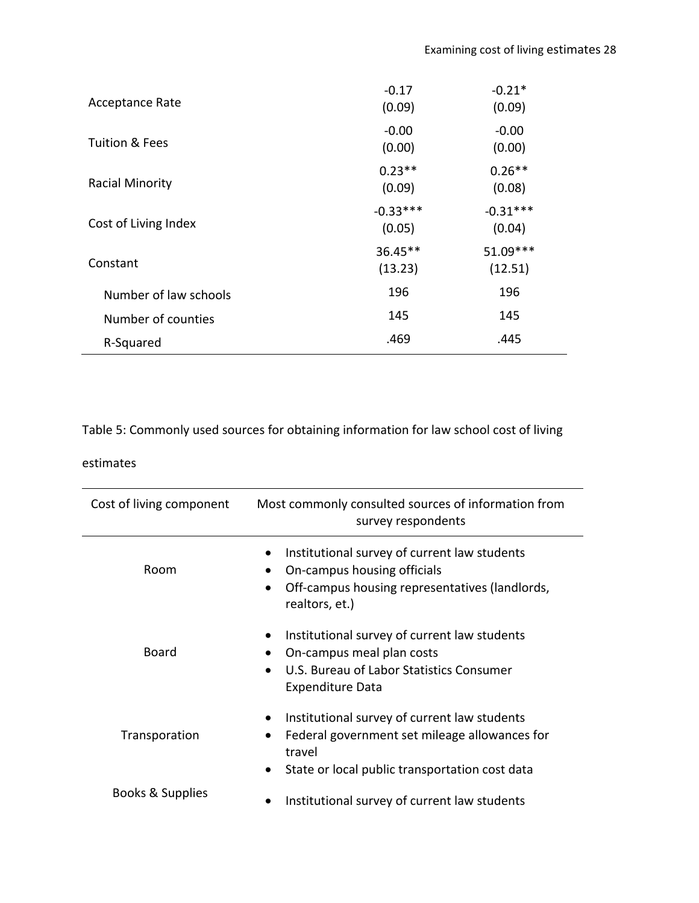| <b>Acceptance Rate</b> | $-0.17$<br>(0.09)    | $-0.21*$<br>(0.09)   |
|------------------------|----------------------|----------------------|
| Tuition & Fees         | $-0.00$<br>(0.00)    | $-0.00$<br>(0.00)    |
| <b>Racial Minority</b> | $0.23**$<br>(0.09)   | $0.26**$<br>(0.08)   |
| Cost of Living Index   | $-0.33***$<br>(0.05) | $-0.31***$<br>(0.04) |
| Constant               | 36.45**<br>(13.23)   | 51.09***<br>(12.51)  |
| Number of law schools  | 196                  | 196                  |
| Number of counties     | 145                  | 145                  |
| R-Squared              | .469                 | .445                 |
|                        |                      |                      |

Table 5: Commonly used sources for obtaining information for law school cost of living

# estimates

| Cost of living component | Most commonly consulted sources of information from<br>survey respondents                                                                                                                        |
|--------------------------|--------------------------------------------------------------------------------------------------------------------------------------------------------------------------------------------------|
| Room                     | Institutional survey of current law students<br>On-campus housing officials<br>Off-campus housing representatives (landlords,<br>$\bullet$<br>realtors, et.)                                     |
| Board                    | Institutional survey of current law students<br>On-campus meal plan costs<br>٠<br>U.S. Bureau of Labor Statistics Consumer<br>$\bullet$<br><b>Expenditure Data</b>                               |
| Transporation            | Institutional survey of current law students<br>$\bullet$<br>Federal government set mileage allowances for<br>$\bullet$<br>travel<br>State or local public transportation cost data<br>$\bullet$ |
| Books & Supplies         | Institutional survey of current law students                                                                                                                                                     |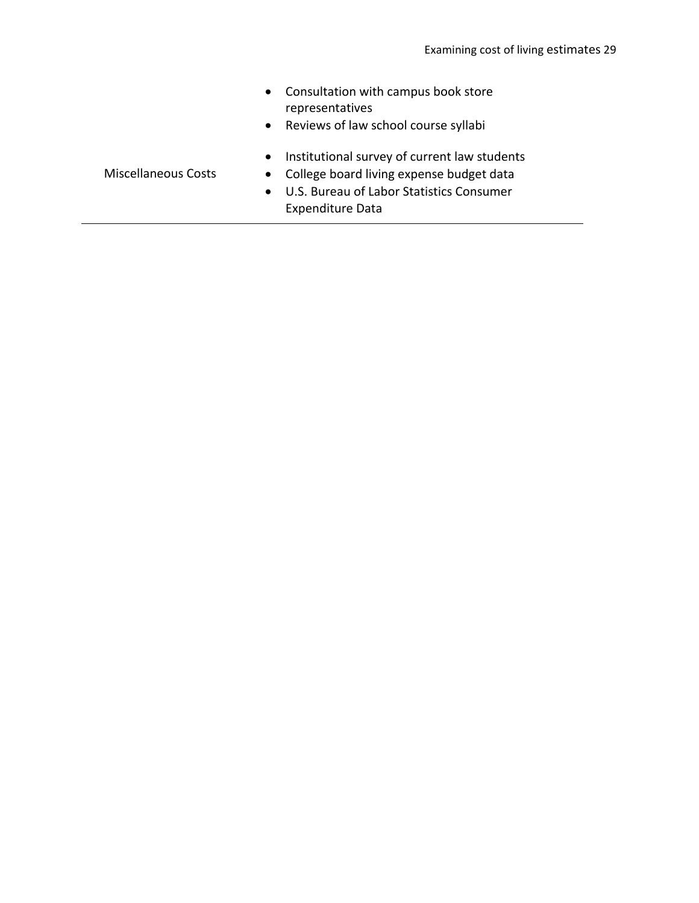- Consultation with campus book store representatives
- Reviews of law school course syllabi
- Institutional survey of current law students
- College board living expense budget data
- U.S. Bureau of Labor Statistics Consumer Expenditure Data

Miscellaneous Costs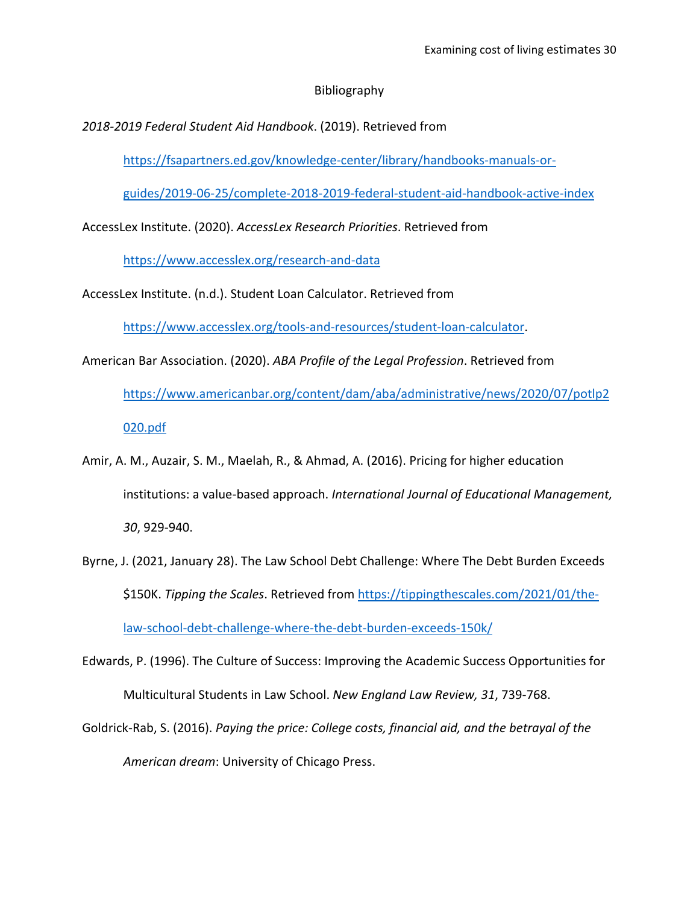# Bibliography

*2018-2019 Federal Student Aid Handbook*. (2019). Retrieved from

[https://fsapartners.ed.gov/knowledge-center/library/handbooks-manuals-or-](https://fsapartners.ed.gov/knowledge-center/library/handbooks-manuals-or-guides/2019-06-25/complete-2018-2019-federal-student-aid-handbook-active-index)

[guides/2019-06-25/complete-2018-2019-federal-student-aid-handbook-active-index](https://fsapartners.ed.gov/knowledge-center/library/handbooks-manuals-or-guides/2019-06-25/complete-2018-2019-federal-student-aid-handbook-active-index)

AccessLex Institute. (2020). *AccessLex Research Priorities*. Retrieved from

<https://www.accesslex.org/research-and-data>

AccessLex Institute. (n.d.). Student Loan Calculator. Retrieved from

[https://www.accesslex.org/tools-and-resources/student-loan-calculator.](https://www.accesslex.org/tools-and-resources/student-loan-calculator)

American Bar Association. (2020). *ABA Profile of the Legal Profession*. Retrieved from

[https://www.americanbar.org/content/dam/aba/administrative/news/2020/07/potlp2](https://www.americanbar.org/content/dam/aba/administrative/news/2020/07/potlp2020.pdf) [020.pdf](https://www.americanbar.org/content/dam/aba/administrative/news/2020/07/potlp2020.pdf)

- Amir, A. M., Auzair, S. M., Maelah, R., & Ahmad, A. (2016). Pricing for higher education institutions: a value-based approach. *International Journal of Educational Management, 30*, 929-940.
- Byrne, J. (2021, January 28). The Law School Debt Challenge: Where The Debt Burden Exceeds \$150K. *Tipping the Scales*. Retrieved from [https://tippingthescales.com/2021/01/the](https://tippingthescales.com/2021/01/the-law-school-debt-challenge-where-the-debt-burden-exceeds-150k/)[law-school-debt-challenge-where-the-debt-burden-exceeds-150k/](https://tippingthescales.com/2021/01/the-law-school-debt-challenge-where-the-debt-burden-exceeds-150k/)
- Edwards, P. (1996). The Culture of Success: Improving the Academic Success Opportunities for Multicultural Students in Law School. *New England Law Review, 31*, 739-768.
- Goldrick-Rab, S. (2016). *Paying the price: College costs, financial aid, and the betrayal of the American dream*: University of Chicago Press.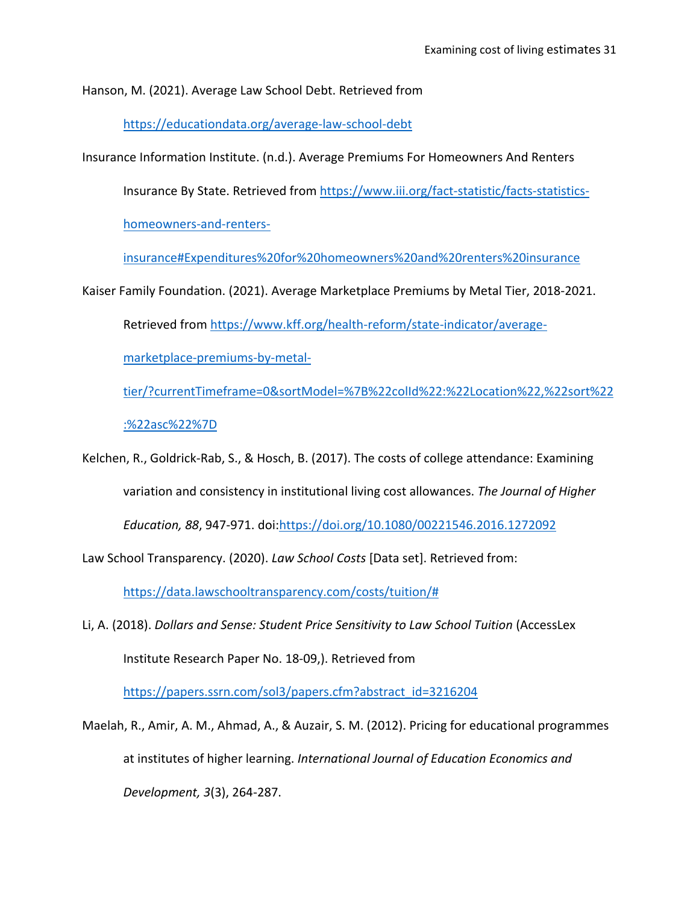Hanson, M. (2021). Average Law School Debt. Retrieved from

<https://educationdata.org/average-law-school-debt>

Insurance Information Institute. (n.d.). Average Premiums For Homeowners And Renters

Insurance By State. Retrieved from [https://www.iii.org/fact-statistic/facts-statistics-](https://www.iii.org/fact-statistic/facts-statistics-homeowners-and-renters-insurance#Expenditures%20for%20homeowners%20and%20renters%20insurance)

[homeowners-and-renters-](https://www.iii.org/fact-statistic/facts-statistics-homeowners-and-renters-insurance#Expenditures%20for%20homeowners%20and%20renters%20insurance)

[insurance#Expenditures%20for%20homeowners%20and%20renters%20insurance](https://www.iii.org/fact-statistic/facts-statistics-homeowners-and-renters-insurance#Expenditures%20for%20homeowners%20and%20renters%20insurance)

Kaiser Family Foundation. (2021). Average Marketplace Premiums by Metal Tier, 2018-2021.

Retrieved from [https://www.kff.org/health-reform/state-indicator/average-](https://www.kff.org/health-reform/state-indicator/average-marketplace-premiums-by-metal-tier/?currentTimeframe=0&sortModel=%7B%22colId%22:%22Location%22,%22sort%22:%22asc%22%7D)

[marketplace-premiums-by-metal-](https://www.kff.org/health-reform/state-indicator/average-marketplace-premiums-by-metal-tier/?currentTimeframe=0&sortModel=%7B%22colId%22:%22Location%22,%22sort%22:%22asc%22%7D)

[tier/?currentTimeframe=0&sortModel=%7B%22colId%22:%22Location%22,%22sort%22](https://www.kff.org/health-reform/state-indicator/average-marketplace-premiums-by-metal-tier/?currentTimeframe=0&sortModel=%7B%22colId%22:%22Location%22,%22sort%22:%22asc%22%7D) [:%22asc%22%7D](https://www.kff.org/health-reform/state-indicator/average-marketplace-premiums-by-metal-tier/?currentTimeframe=0&sortModel=%7B%22colId%22:%22Location%22,%22sort%22:%22asc%22%7D)

Kelchen, R., Goldrick-Rab, S., & Hosch, B. (2017). The costs of college attendance: Examining variation and consistency in institutional living cost allowances. *The Journal of Higher Education, 88*, 947-971. doi[:https://doi.org/10.1080/00221546.2016.1272092](https://doi.org/10.1080/00221546.2016.1272092)

Law School Transparency. (2020). *Law School Costs* [Data set]. Retrieved from:

[https://data.lawschooltransparency.com/costs/tuition/#](https://data.lawschooltransparency.com/costs/tuition/)

Li, A. (2018). *Dollars and Sense: Student Price Sensitivity to Law School Tuition* (AccessLex Institute Research Paper No. 18-09,). Retrieved from

[https://papers.ssrn.com/sol3/papers.cfm?abstract\\_id=3216204](https://papers.ssrn.com/sol3/papers.cfm?abstract_id=3216204)

Maelah, R., Amir, A. M., Ahmad, A., & Auzair, S. M. (2012). Pricing for educational programmes at institutes of higher learning. *International Journal of Education Economics and Development, 3*(3), 264-287.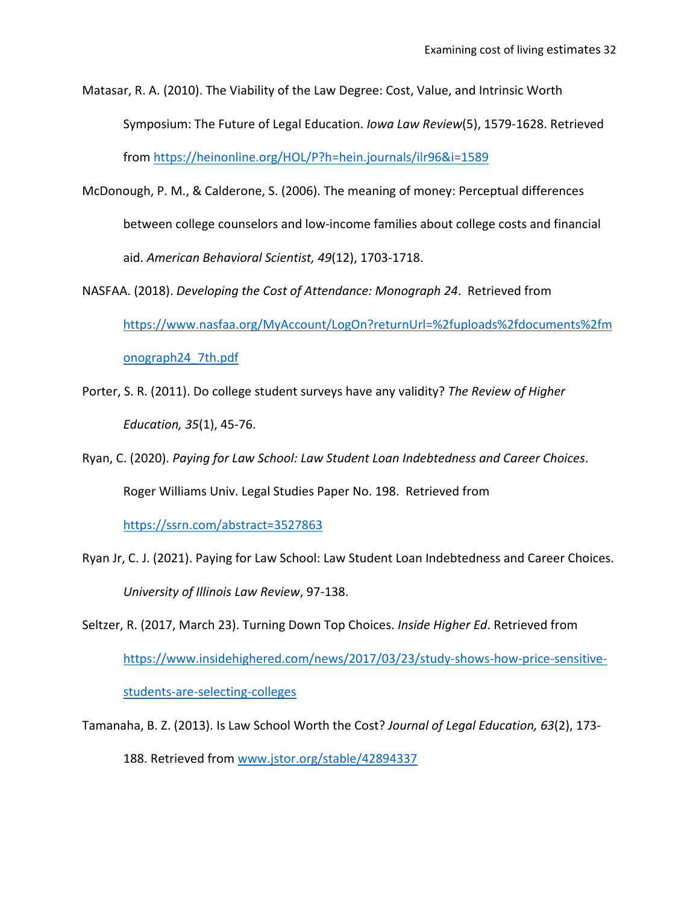Matasar, R. A. (2010). The Viability of the Law Degree: Cost, Value, and Intrinsic Worth Symposium: The Future of Legal Education. *Iowa Law Review*(5), 1579-1628. Retrieved from<https://heinonline.org/HOL/P?h=hein.journals/ilr96&i=1589>

- McDonough, P. M., & Calderone, S. (2006). The meaning of money: Perceptual differences between college counselors and low-income families about college costs and financial aid. *American Behavioral Scientist, 49*(12), 1703-1718.
- NASFAA. (2018). *Developing the Cost of Attendance: Monograph 24*. Retrieved from [https://www.nasfaa.org/MyAccount/LogOn?returnUrl=%2fuploads%2fdocuments%2fm](https://www.nasfaa.org/MyAccount/LogOn?returnUrl=%2fuploads%2fdocuments%2fmonograph24_7th.pdf) [onograph24\\_7th.pdf](https://www.nasfaa.org/MyAccount/LogOn?returnUrl=%2fuploads%2fdocuments%2fmonograph24_7th.pdf)
- Porter, S. R. (2011). Do college student surveys have any validity? *The Review of Higher Education, 35*(1), 45-76.
- Ryan, C. (2020). *Paying for Law School: Law Student Loan Indebtedness and Career Choices*. Roger Williams Univ. Legal Studies Paper No. 198. Retrieved from

<https://ssrn.com/abstract=3527863>

Ryan Jr, C. J. (2021). Paying for Law School: Law Student Loan Indebtedness and Career Choices. *University of Illinois Law Review*, 97-138.

Seltzer, R. (2017, March 23). Turning Down Top Choices. *Inside Higher Ed*. Retrieved from [https://www.insidehighered.com/news/2017/03/23/study-shows-how-price-sensitive](https://www.insidehighered.com/news/2017/03/23/study-shows-how-price-sensitive-students-are-selecting-colleges)[students-are-selecting-colleges](https://www.insidehighered.com/news/2017/03/23/study-shows-how-price-sensitive-students-are-selecting-colleges)

Tamanaha, B. Z. (2013). Is Law School Worth the Cost? *Journal of Legal Education, 63*(2), 173- 188. Retrieved from<www.jstor.org/stable/42894337>